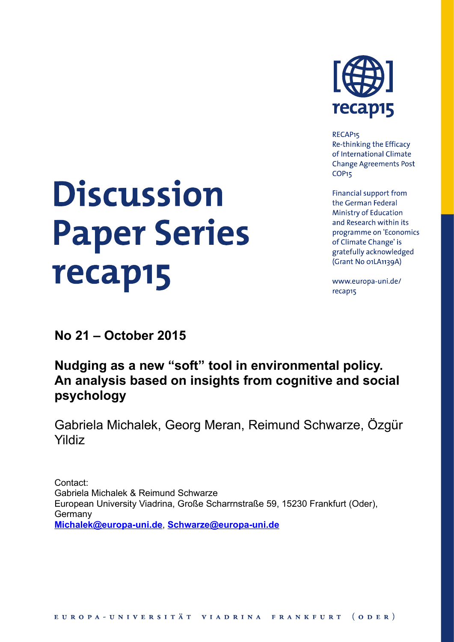# **Discussion Paper Series** recap15



RECAP<sub>15</sub> Re-thinking the Efficacy of International Climate **Change Agreements Post** COP<sub>15</sub>

Financial support from the German Federal **Ministry of Education** and Research within its programme on 'Economics of Climate Change' is gratefully acknowledged (Grant No o1LA1139A)

www.europa-uni.de/ recap15

**No 21 – October 2015**

# **Nudging as a new "soft" tool in environmental policy. An analysis based on insights from cognitive and social psychology**

Gabriela Michalek, Georg Meran, Reimund Schwarze, Özgür Yildiz

Contact: Gabriela Michalek & Reimund Schwarze European University Viadrina, Große Scharrnstraße 59, 15230 Frankfurt (Oder), **Germany Michalek@europa-uni.de**, **Schwarze@europa-uni.de**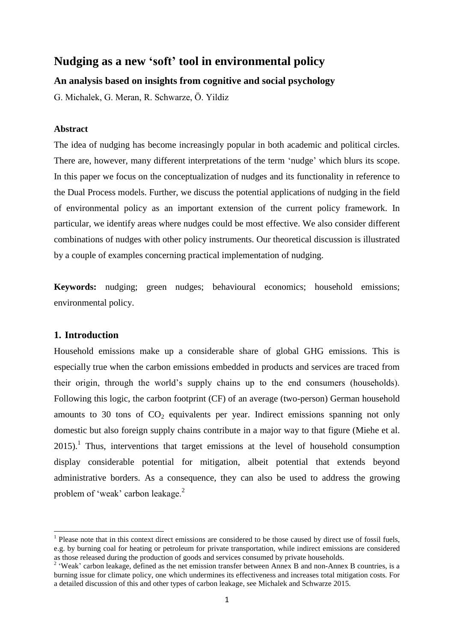# **Nudging as a new 'soft' tool in environmental policy**

# **An analysis based on insights from cognitive and social psychology**

G. Michalek, G. Meran, R. Schwarze, Ö. Yildiz

# **Abstract**

The idea of nudging has become increasingly popular in both academic and political circles. There are, however, many different interpretations of the term 'nudge' which blurs its scope. In this paper we focus on the conceptualization of nudges and its functionality in reference to the Dual Process models. Further, we discuss the potential applications of nudging in the field of environmental policy as an important extension of the current policy framework. In particular, we identify areas where nudges could be most effective. We also consider different combinations of nudges with other policy instruments. Our theoretical discussion is illustrated by a couple of examples concerning practical implementation of nudging.

**Keywords:** nudging; green nudges; behavioural economics; household emissions; environmental policy.

# **1. Introduction**

 $\overline{a}$ 

Household emissions make up a considerable share of global GHG emissions. This is especially true when the carbon emissions embedded in products and services are traced from their origin, through the world's supply chains up to the end consumers (households). Following this logic, the carbon footprint (CF) of an average (two-person) German household amounts to 30 tons of  $CO<sub>2</sub>$  equivalents per year. Indirect emissions spanning not only domestic but also foreign supply chains contribute in a major way to that figure (Miehe et al.  $2015$ ).<sup>1</sup> Thus, interventions that target emissions at the level of household consumption display considerable potential for mitigation, albeit potential that extends beyond administrative borders. As a consequence, they can also be used to address the growing problem of 'weak' carbon leakage.<sup>2</sup>

<sup>&</sup>lt;sup>1</sup> Please note that in this context direct emissions are considered to be those caused by direct use of fossil fuels, e.g. by burning coal for heating or petroleum for private transportation, while indirect emissions are considered as those released during the production of goods and services consumed by private households.

<sup>&</sup>lt;sup>2</sup> 'Weak' carbon leakage, defined as the net emission transfer between Annex B and non-Annex B countries, is a burning issue for climate policy, one which undermines its effectiveness and increases total mitigation costs. For a detailed discussion of this and other types of carbon leakage, see Michalek and Schwarze 2015.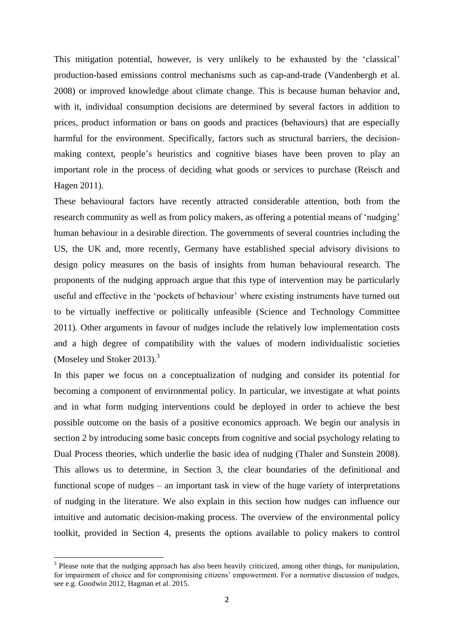This mitigation potential, however, is very unlikely to be exhausted by the 'classical' production-based emissions control mechanisms such as cap-and-trade (Vandenbergh et al. 2008) or improved knowledge about climate change. This is because human behavior and, with it, individual consumption decisions are determined by several factors in addition to prices, product information or bans on goods and practices (behaviours) that are especially harmful for the environment. Specifically, factors such as structural barriers, the decisionmaking context, people's heuristics and cognitive biases have been proven to play an important role in the process of deciding what goods or services to purchase (Reisch and Hagen 2011).

These behavioural factors have recently attracted considerable attention, both from the research community as well as from policy makers, as offering a potential means of 'nudging' human behaviour in a desirable direction. The governments of several countries including the US, the UK and, more recently, Germany have established special advisory divisions to design policy measures on the basis of insights from human behavioural research. The proponents of the nudging approach argue that this type of intervention may be particularly useful and effective in the 'pockets of behaviour' where existing instruments have turned out to be virtually ineffective or politically unfeasible (Science and Technology Committee 2011)*.* Other arguments in favour of nudges include the relatively low implementation costs and a high degree of compatibility with the values of modern individualistic societies (Moseley und Stoker 2013). $3$ 

In this paper we focus on a conceptualization of nudging and consider its potential for becoming a component of environmental policy. In particular, we investigate at what points and in what form nudging interventions could be deployed in order to achieve the best possible outcome on the basis of a positive economics approach. We begin our analysis in section 2 by introducing some basic concepts from cognitive and social psychology relating to Dual Process theories, which underlie the basic idea of nudging (Thaler and Sunstein 2008). This allows us to determine, in Section 3, the clear boundaries of the definitional and functional scope of nudges – an important task in view of the huge variety of interpretations of nudging in the literature. We also explain in this section how nudges can influence our intuitive and automatic decision-making process. The overview of the environmental policy toolkit, provided in Section 4, presents the options available to policy makers to control

<sup>&</sup>lt;sup>3</sup> Please note that the nudging approach has also been heavily criticized, among other things, for manipulation, for impairment of choice and for compromising citizens' empowerment. For a normative discussion of nudges, see e.g. Goodwin 2012, Hagman et al. 2015.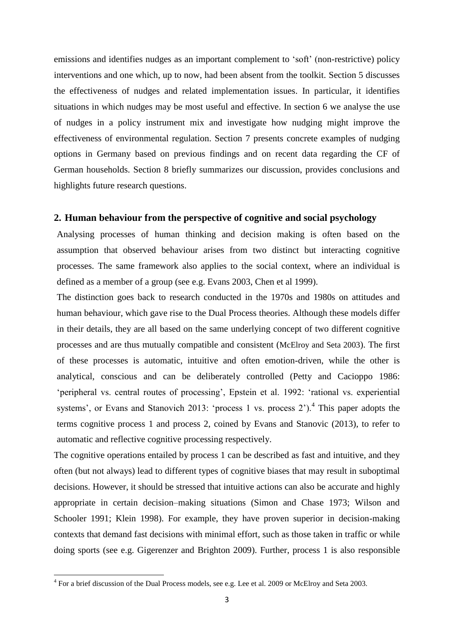emissions and identifies nudges as an important complement to 'soft' (non-restrictive) policy interventions and one which, up to now, had been absent from the toolkit. Section 5 discusses the effectiveness of nudges and related implementation issues. In particular, it identifies situations in which nudges may be most useful and effective. In section 6 we analyse the use of nudges in a policy instrument mix and investigate how nudging might improve the effectiveness of environmental regulation. Section 7 presents concrete examples of nudging options in Germany based on previous findings and on recent data regarding the CF of German households. Section 8 briefly summarizes our discussion, provides conclusions and highlights future research questions.

#### **2. Human behaviour from the perspective of cognitive and social psychology**

Analysing processes of human thinking and decision making is often based on the assumption that observed behaviour arises from two distinct but interacting cognitive processes. The same framework also applies to the social context, where an individual is defined as a member of a group (see e.g. Evans 2003, Chen et al 1999).

The distinction goes back to research conducted in the 1970s and 1980s on attitudes and human behaviour, which gave rise to the Dual Process theories. Although these models differ in their details, they are all based on the same underlying concept of two different cognitive processes and are thus mutually compatible and consistent (McElroy and Seta 2003). The first of these processes is automatic, intuitive and often emotion-driven, while the other is analytical, conscious and can be deliberately controlled (Petty and Cacioppo 1986: 'peripheral vs. central routes of processing', Epstein et al. 1992: 'rational vs. experiential systems', or Evans and Stanovich 2013: 'process 1 vs. process  $2^{\prime}$ ).<sup>4</sup> This paper adopts the terms cognitive process 1 and process 2, coined by Evans and Stanovic (2013), to refer to automatic and reflective cognitive processing respectively.

The cognitive operations entailed by process 1 can be described as fast and intuitive, and they often (but not always) lead to different types of cognitive biases that may result in suboptimal decisions. However, it should be stressed that intuitive actions can also be accurate and highly appropriate in certain decision–making situations (Simon and Chase 1973; Wilson and Schooler 1991; Klein 1998). For example, they have proven superior in decision-making contexts that demand fast decisions with minimal effort, such as those taken in traffic or while doing sports (see e.g. Gigerenzer and Brighton 2009). Further, process 1 is also responsible

 4 For a brief discussion of the Dual Process models, see e.g. Lee et al. 2009 or McElroy and Seta 2003.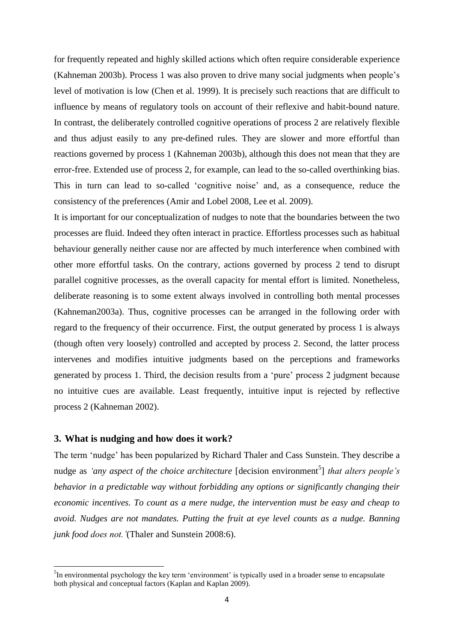for frequently repeated and highly skilled actions which often require considerable experience (Kahneman 2003b). Process 1 was also proven to drive many social judgments when people's level of motivation is low (Chen et al. 1999). It is precisely such reactions that are difficult to influence by means of regulatory tools on account of their reflexive and habit-bound nature. In contrast, the deliberately controlled cognitive operations of process 2 are relatively flexible and thus adjust easily to any pre-defined rules. They are slower and more effortful than reactions governed by process 1 (Kahneman 2003b), although this does not mean that they are error-free. Extended use of process 2, for example, can lead to the so-called overthinking bias. This in turn can lead to so-called 'cognitive noise' and, as a consequence, reduce the consistency of the preferences (Amir and Lobel 2008, Lee et al. 2009).

It is important for our conceptualization of nudges to note that the boundaries between the two processes are fluid. Indeed they often interact in practice. Effortless processes such as habitual behaviour generally neither cause nor are affected by much interference when combined with other more effortful tasks. On the contrary, actions governed by process 2 tend to disrupt parallel cognitive processes, as the overall capacity for mental effort is limited. Nonetheless, deliberate reasoning is to some extent always involved in controlling both mental processes (Kahneman2003a). Thus, cognitive processes can be arranged in the following order with regard to the frequency of their occurrence. First, the output generated by process 1 is always (though often very loosely) controlled and accepted by process 2. Second, the latter process intervenes and modifies intuitive judgments based on the perceptions and frameworks generated by process 1. Third, the decision results from a 'pure' process 2 judgment because no intuitive cues are available. Least frequently, intuitive input is rejected by reflective process 2 (Kahneman 2002).

# **3. What is nudging and how does it work?**

 $\ddot{\phantom{a}}$ 

The term 'nudge' has been popularized by Richard Thaler and Cass Sunstein. They describe a nudge as *'any aspect of the choice architecture* [decision environment<sup>5</sup>] *that alters people's behavior in a predictable way without forbidding any options or significantly changing their economic incentives. To count as a mere nudge, the intervention must be easy and cheap to avoid. Nudges are not mandates. Putting the fruit at eye level counts as a nudge. Banning junk food does not.'*(Thaler and Sunstein 2008:6).

<sup>&</sup>lt;sup>5</sup>In environmental psychology the key term 'environment' is typically used in a broader sense to encapsulate both physical and conceptual factors (Kaplan and Kaplan 2009).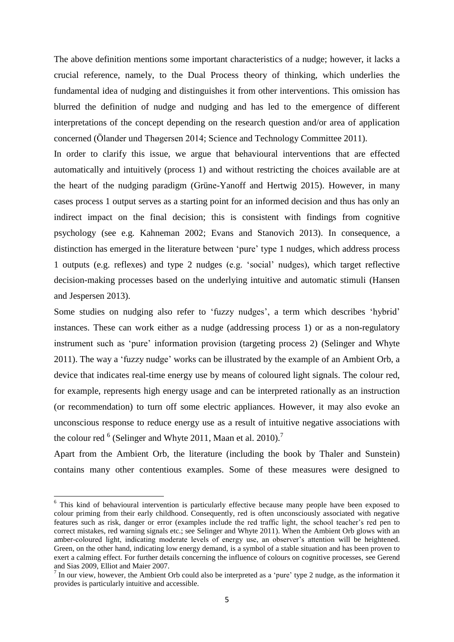The above definition mentions some important characteristics of a nudge; however, it lacks a crucial reference, namely, to the Dual Process theory of thinking, which underlies the fundamental idea of nudging and distinguishes it from other interventions. This omission has blurred the definition of nudge and nudging and has led to the emergence of different interpretations of the concept depending on the research question and/or area of application concerned (Ölander und Thøgersen 2014; Science and Technology Committee 2011).

In order to clarify this issue, we argue that behavioural interventions that are effected automatically and intuitively (process 1) and without restricting the choices available are at the heart of the nudging paradigm (Grüne-Yanoff and Hertwig 2015). However, in many cases process 1 output serves as a starting point for an informed decision and thus has only an indirect impact on the final decision; this is consistent with findings from cognitive psychology (see e.g. Kahneman 2002; Evans and Stanovich 2013). In consequence, a distinction has emerged in the literature between 'pure' type 1 nudges, which address process 1 outputs (e.g. reflexes) and type 2 nudges (e.g. 'social' nudges), which target reflective decision-making processes based on the underlying intuitive and automatic stimuli (Hansen and Jespersen 2013).

Some studies on nudging also refer to 'fuzzy nudges', a term which describes 'hybrid' instances. These can work either as a nudge (addressing process 1) or as a non-regulatory instrument such as 'pure' information provision (targeting process 2) (Selinger and Whyte 2011). The way a 'fuzzy nudge' works can be illustrated by the example of an Ambient Orb, a device that indicates real-time energy use by means of coloured light signals. The colour red, for example, represents high energy usage and can be interpreted rationally as an instruction (or recommendation) to turn off some electric appliances. However, it may also evoke an unconscious response to reduce energy use as a result of intuitive negative associations with the colour red  $<sup>6</sup>$  (Selinger and Whyte 2011, Maan et al. 2010).<sup>7</sup></sup>

Apart from the Ambient Orb, the literature (including the book by Thaler and Sunstein) contains many other contentious examples. Some of these measures were designed to

<sup>&</sup>lt;sup>6</sup> This kind of behavioural intervention is particularly effective because many people have been exposed to colour priming from their early childhood. Consequently, red is often unconsciously associated with negative features such as risk, danger or error (examples include the red traffic light, the school teacher's red pen to correct mistakes, red warning signals etc.; see Selinger and Whyte 2011). When the Ambient Orb glows with an amber-coloured light, indicating moderate levels of energy use, an observer's attention will be heightened. Green, on the other hand, indicating low energy demand, is a symbol of a stable situation and has been proven to exert a calming effect. For further details concerning the influence of colours on cognitive processes, see Gerend and Sias 2009, Elliot and Maier 2007.

 $<sup>7</sup>$  In our view, however, the Ambient Orb could also be interpreted as a 'pure' type 2 nudge, as the information it</sup> provides is particularly intuitive and accessible.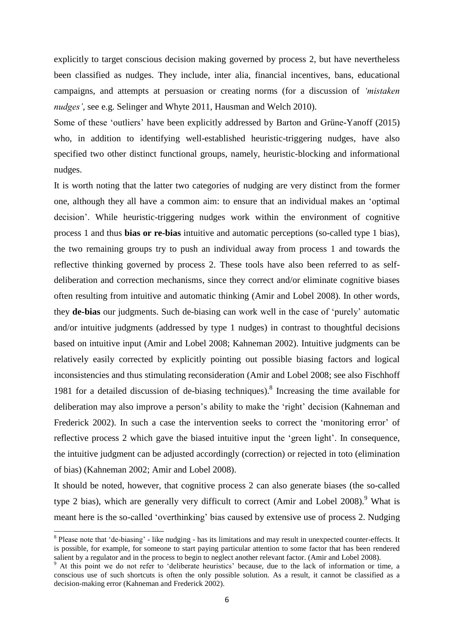explicitly to target conscious decision making governed by process 2, but have nevertheless been classified as nudges. They include, inter alia, financial incentives, bans, educational campaigns, and attempts at persuasion or creating norms (for a discussion of *'mistaken nudges'*, see e.g. Selinger and Whyte 2011, Hausman and Welch 2010).

Some of these 'outliers' have been explicitly addressed by Barton and Grüne-Yanoff (2015) who, in addition to identifying well-established heuristic-triggering nudges, have also specified two other distinct functional groups, namely, heuristic-blocking and informational nudges.

It is worth noting that the latter two categories of nudging are very distinct from the former one, although they all have a common aim: to ensure that an individual makes an 'optimal decision'. While heuristic-triggering nudges work within the environment of cognitive process 1 and thus **bias or re-bias** intuitive and automatic perceptions (so-called type 1 bias), the two remaining groups try to push an individual away from process 1 and towards the reflective thinking governed by process 2. These tools have also been referred to as selfdeliberation and correction mechanisms, since they correct and/or eliminate cognitive biases often resulting from intuitive and automatic thinking (Amir and Lobel 2008). In other words, they **de-bias** our judgments. Such de-biasing can work well in the case of 'purely' automatic and/or intuitive judgments (addressed by type 1 nudges) in contrast to thoughtful decisions based on intuitive input (Amir and Lobel 2008; Kahneman 2002). Intuitive judgments can be relatively easily corrected by explicitly pointing out possible biasing factors and logical inconsistencies and thus stimulating reconsideration (Amir and Lobel 2008; see also Fischhoff 1981 for a detailed discussion of de-biasing techniques).<sup>8</sup> Increasing the time available for deliberation may also improve a person's ability to make the 'right' decision (Kahneman and Frederick 2002). In such a case the intervention seeks to correct the 'monitoring error' of reflective process 2 which gave the biased intuitive input the 'green light'. In consequence, the intuitive judgment can be adjusted accordingly (correction) or rejected in toto (elimination of bias) (Kahneman 2002; Amir and Lobel 2008).

It should be noted, however, that cognitive process 2 can also generate biases (the so-called type 2 bias), which are generally very difficult to correct (Amir and Lobel 2008).<sup>9</sup> What is meant here is the so-called 'overthinking' bias caused by extensive use of process 2. Nudging

 $8$  Please note that 'de-biasing' - like nudging - has its limitations and may result in unexpected counter-effects. It is possible, for example, for someone to start paying particular attention to some factor that has been rendered salient by a regulator and in the process to begin to neglect another relevant factor. (Amir and Lobel 2008).

<sup>&</sup>lt;sup>9</sup> At this point we do not refer to 'deliberate heuristics' because, due to the lack of information or time, a conscious use of such shortcuts is often the only possible solution. As a result, it cannot be classified as a decision-making error (Kahneman and Frederick 2002).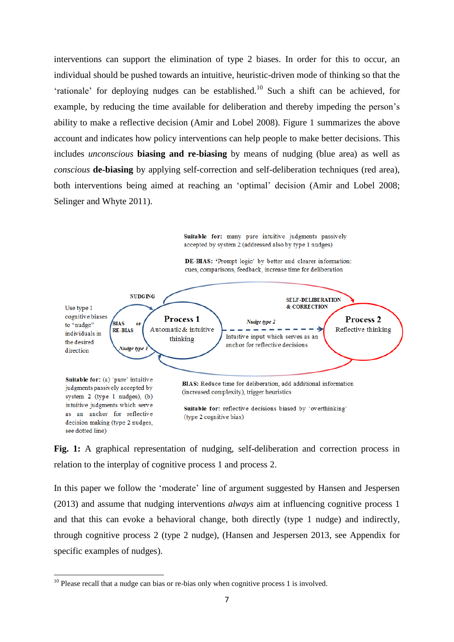interventions can support the elimination of type 2 biases. In order for this to occur, an individual should be pushed towards an intuitive, heuristic-driven mode of thinking so that the 'rationale' for deploying nudges can be established. <sup>10</sup> Such a shift can be achieved, for example, by reducing the time available for deliberation and thereby impeding the person's ability to make a reflective decision (Amir and Lobel 2008). Figure 1 summarizes the above account and indicates how policy interventions can help people to make better decisions. This includes *unconscious* **biasing and re-biasing** by means of nudging (blue area) as well as *conscious* **de-biasing** by applying self-correction and self-deliberation techniques (red area), both interventions being aimed at reaching an 'optimal' decision (Amir and Lobel 2008; Selinger and Whyte 2011).

> Suitable for: many pure intuitive judgments passively accepted by system 2 (addressed also by type 1 nudges)

DE-BIAS: 'Prompt logic' by better and clearer information: cues, comparisons, feedback, increase time for deliberation



**Fig. 1:** A graphical representation of nudging, self-deliberation and correction process in relation to the interplay of cognitive process 1 and process 2.

In this paper we follow the 'moderate' line of argument suggested by Hansen and Jespersen (2013) and assume that nudging interventions *always* aim at influencing cognitive process 1 and that this can evoke a behavioral change, both directly (type 1 nudge) and indirectly, through cognitive process 2 (type 2 nudge), (Hansen and Jespersen 2013, see Appendix for specific examples of nudges).

 $10$  Please recall that a nudge can bias or re-bias only when cognitive process 1 is involved.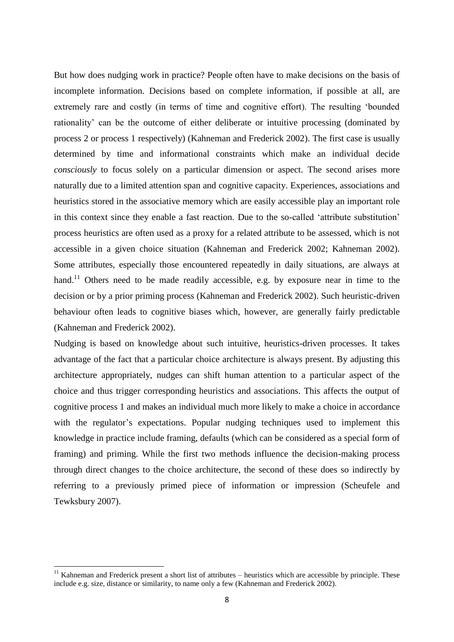But how does nudging work in practice? People often have to make decisions on the basis of incomplete information. Decisions based on complete information, if possible at all, are extremely rare and costly (in terms of time and cognitive effort). The resulting 'bounded rationality' can be the outcome of either deliberate or intuitive processing (dominated by process 2 or process 1 respectively) (Kahneman and Frederick 2002). The first case is usually determined by time and informational constraints which make an individual decide *consciously* to focus solely on a particular dimension or aspect. The second arises more naturally due to a limited attention span and cognitive capacity. Experiences, associations and heuristics stored in the associative memory which are easily accessible play an important role in this context since they enable a fast reaction. Due to the so-called 'attribute substitution' process heuristics are often used as a proxy for a related attribute to be assessed, which is not accessible in a given choice situation (Kahneman and Frederick 2002; Kahneman 2002). Some attributes, especially those encountered repeatedly in daily situations, are always at hand.<sup>11</sup> Others need to be made readily accessible, e.g. by exposure near in time to the decision or by a prior priming process (Kahneman and Frederick 2002). Such heuristic-driven behaviour often leads to cognitive biases which, however, are generally fairly predictable (Kahneman and Frederick 2002).

Nudging is based on knowledge about such intuitive, heuristics-driven processes. It takes advantage of the fact that a particular choice architecture is always present. By adjusting this architecture appropriately, nudges can shift human attention to a particular aspect of the choice and thus trigger corresponding heuristics and associations. This affects the output of cognitive process 1 and makes an individual much more likely to make a choice in accordance with the regulator's expectations. Popular nudging techniques used to implement this knowledge in practice include framing, defaults (which can be considered as a special form of framing) and priming. While the first two methods influence the decision-making process through direct changes to the choice architecture, the second of these does so indirectly by referring to a previously primed piece of information or impression (Scheufele and Tewksbury 2007).

 $\ddot{\phantom{a}}$ 

 $11$  Kahneman and Frederick present a short list of attributes – heuristics which are accessible by principle. These include e.g. size, distance or similarity, to name only a few (Kahneman and Frederick 2002).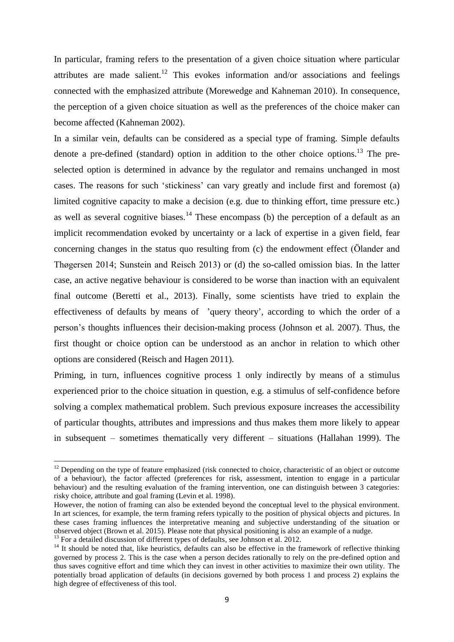In particular, framing refers to the presentation of a given choice situation where particular attributes are made salient.<sup>12</sup> This evokes information and/or associations and feelings connected with the emphasized attribute (Morewedge and Kahneman 2010). In consequence, the perception of a given choice situation as well as the preferences of the choice maker can become affected (Kahneman 2002).

In a similar vein, defaults can be considered as a special type of framing. Simple defaults denote a pre-defined (standard) option in addition to the other choice options.<sup>13</sup> The preselected option is determined in advance by the regulator and remains unchanged in most cases. The reasons for such 'stickiness' can vary greatly and include first and foremost (a) limited cognitive capacity to make a decision (e.g. due to thinking effort, time pressure etc.) as well as several cognitive biases.<sup>14</sup> These encompass (b) the perception of a default as an implicit recommendation evoked by uncertainty or a lack of expertise in a given field, fear concerning changes in the status quo resulting from (c) the endowment effect (Ölander and Thøgersen 2014; Sunstein and Reisch 2013) or (d) the so-called omission bias. In the latter case, an active negative behaviour is considered to be worse than inaction with an equivalent final outcome (Beretti et al., 2013). Finally, some scientists have tried to explain the effectiveness of defaults by means of 'query theory', according to which the order of a person's thoughts influences their decision-making process (Johnson et al. 2007). Thus, the first thought or choice option can be understood as an anchor in relation to which other options are considered (Reisch and Hagen 2011).

Priming, in turn, influences cognitive process 1 only indirectly by means of a stimulus experienced prior to the choice situation in question, e.g. a stimulus of self-confidence before solving a complex mathematical problem. Such previous exposure increases the accessibility of particular thoughts, attributes and impressions and thus makes them more likely to appear in subsequent – sometimes thematically very different – situations (Hallahan 1999). The

 $12$  Depending on the type of feature emphasized (risk connected to choice, characteristic of an object or outcome of a behaviour), the factor affected (preferences for risk, assessment, intention to engage in a particular behaviour) and the resulting evaluation of the framing intervention, one can distinguish between 3 categories: risky choice, attribute and goal framing (Levin et al. 1998).

However, the notion of framing can also be extended beyond the conceptual level to the physical environment. In art sciences, for example, the term framing refers typically to the position of physical objects and pictures. In these cases framing influences the interpretative meaning and subjective understanding of the situation or observed object (Brown et al. 2015). Please note that physical positioning is also an example of a nudge.

<sup>&</sup>lt;sup>13</sup> For a detailed discussion of different types of defaults, see Johnson et al. 2012.

 $14$  It should be noted that, like heuristics, defaults can also be effective in the framework of reflective thinking governed by process 2. This is the case when a person decides rationally to rely on the pre-defined option and thus saves cognitive effort and time which they can invest in other activities to maximize their own utility. The potentially broad application of defaults (in decisions governed by both process 1 and process 2) explains the high degree of effectiveness of this tool.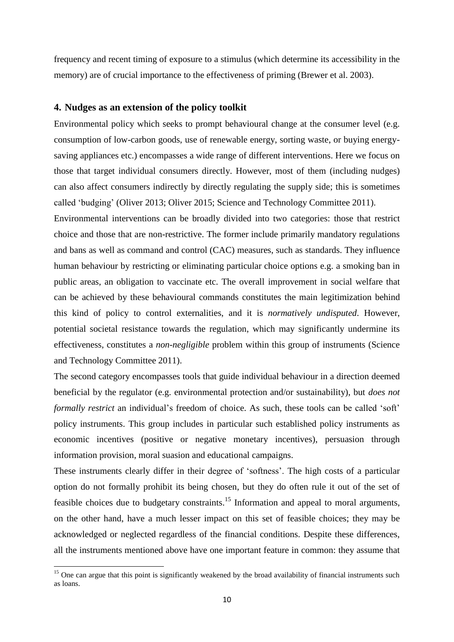frequency and recent timing of exposure to a stimulus (which determine its accessibility in the memory) are of crucial importance to the effectiveness of priming (Brewer et al. 2003).

# **4. Nudges as an extension of the policy toolkit**

Environmental policy which seeks to prompt behavioural change at the consumer level (e.g. consumption of low-carbon goods, use of renewable energy, sorting waste, or buying energysaving appliances etc.) encompasses a wide range of different interventions. Here we focus on those that target individual consumers directly. However, most of them (including nudges) can also affect consumers indirectly by directly regulating the supply side; this is sometimes called 'budging' (Oliver 2013; Oliver 2015; Science and Technology Committee 2011).

Environmental interventions can be broadly divided into two categories: those that restrict choice and those that are non-restrictive. The former include primarily mandatory regulations and bans as well as command and control (CAC) measures, such as standards. They influence human behaviour by restricting or eliminating particular choice options e.g. a smoking ban in public areas, an obligation to vaccinate etc. The overall improvement in social welfare that can be achieved by these behavioural commands constitutes the main legitimization behind this kind of policy to control externalities, and it is *normatively undisputed*. However, potential societal resistance towards the regulation, which may significantly undermine its effectiveness, constitutes a *non-negligible* problem within this group of instruments (Science and Technology Committee 2011).

The second category encompasses tools that guide individual behaviour in a direction deemed beneficial by the regulator (e.g. environmental protection and/or sustainability), but *does not formally restrict* an individual's freedom of choice. As such, these tools can be called 'soft' policy instruments. This group includes in particular such established policy instruments as economic incentives (positive or negative monetary incentives), persuasion through information provision, moral suasion and educational campaigns.

These instruments clearly differ in their degree of 'softness'. The high costs of a particular option do not formally prohibit its being chosen, but they do often rule it out of the set of feasible choices due to budgetary constraints.<sup>15</sup> Information and appeal to moral arguments, on the other hand, have a much lesser impact on this set of feasible choices; they may be acknowledged or neglected regardless of the financial conditions. Despite these differences, all the instruments mentioned above have one important feature in common: they assume that

 $\ddot{\phantom{a}}$ 

 $15$  One can argue that this point is significantly weakened by the broad availability of financial instruments such as loans.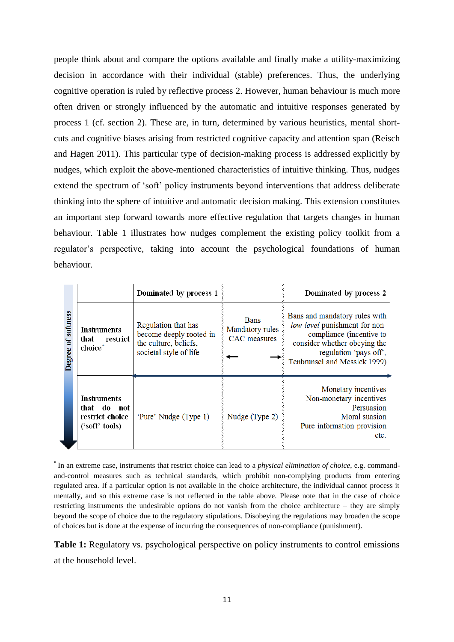people think about and compare the options available and finally make a utility-maximizing decision in accordance with their individual (stable) preferences. Thus, the underlying cognitive operation is ruled by reflective process 2. However, human behaviour is much more often driven or strongly influenced by the automatic and intuitive responses generated by process 1 (cf. section 2). These are, in turn, determined by various heuristics, mental shortcuts and cognitive biases arising from restricted cognitive capacity and attention span (Reisch and Hagen 2011). This particular type of decision-making process is addressed explicitly by nudges, which exploit the above-mentioned characteristics of intuitive thinking. Thus, nudges extend the spectrum of 'soft' policy instruments beyond interventions that address deliberate thinking into the sphere of intuitive and automatic decision making. This extension constitutes an important step forward towards more effective regulation that targets changes in human behaviour. Table 1 illustrates how nudges complement the existing policy toolkit from a regulator's perspective, taking into account the psychological foundations of human behaviour.

|                        |                                                                             | Dominated by process 1                                                                            |                                                | Dominated by process 2                                                                                                                                                               |
|------------------------|-----------------------------------------------------------------------------|---------------------------------------------------------------------------------------------------|------------------------------------------------|--------------------------------------------------------------------------------------------------------------------------------------------------------------------------------------|
| softness<br>5<br>egree | <b>Instruments</b><br>that restrict<br>choice*                              | Regulation that has<br>become deeply rooted in<br>the culture, beliefs,<br>societal style of life | <b>Bans</b><br>Mandatory rules<br>CAC measures | Bans and mandatory rules with<br>low-level punishment for non-<br>compliance (incentive to<br>consider whether obeying the<br>regulation 'pays off',<br>Tenbrunsel and Messick 1999) |
|                        | <b>Instruments</b><br>that do<br>– not<br>restrict choice<br>('soft' tools) | 'Pure' Nudge (Type 1)                                                                             | Nudge (Type 2)                                 | Monetary incentives<br>Non-monetary incentives<br>Persuasion<br>Moral suasion<br>Pure information provision<br>etc.                                                                  |

**\*** In an extreme case, instruments that restrict choice can lead to a *physical elimination of choice*, e.g. commandand-control measures such as technical standards, which prohibit non-complying products from entering regulated area. If a particular option is not available in the choice architecture, the individual cannot process it mentally, and so this extreme case is not reflected in the table above. Please note that in the case of choice restricting instruments the undesirable options do not vanish from the choice architecture – they are simply beyond the scope of choice due to the regulatory stipulations. Disobeying the regulations may broaden the scope of choices but is done at the expense of incurring the consequences of non-compliance (punishment).

**Table 1:** Regulatory vs. psychological perspective on policy instruments to control emissions at the household level.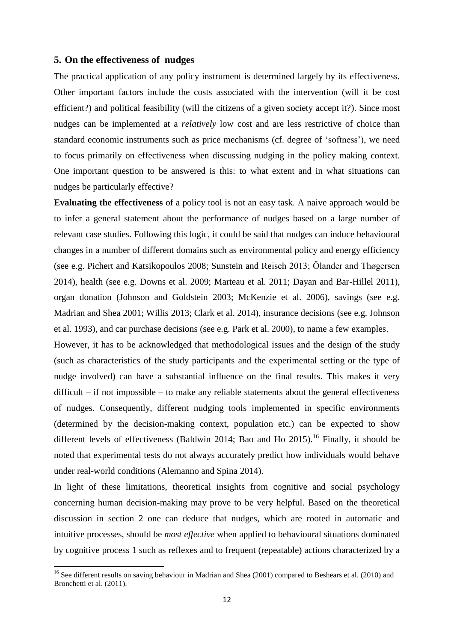#### **5. On the effectiveness of nudges**

 $\ddot{\phantom{a}}$ 

The practical application of any policy instrument is determined largely by its effectiveness. Other important factors include the costs associated with the intervention (will it be cost efficient?) and political feasibility (will the citizens of a given society accept it?). Since most nudges can be implemented at a *relatively* low cost and are less restrictive of choice than standard economic instruments such as price mechanisms (cf. degree of 'softness'), we need to focus primarily on effectiveness when discussing nudging in the policy making context. One important question to be answered is this: to what extent and in what situations can nudges be particularly effective?

**Evaluating the effectiveness** of a policy tool is not an easy task. A naive approach would be to infer a general statement about the performance of nudges based on a large number of relevant case studies. Following this logic, it could be said that nudges can induce behavioural changes in a number of different domains such as environmental policy and energy efficiency (see e.g. Pichert and Katsikopoulos 2008; Sunstein and Reisch 2013; Ölander and Thøgersen 2014), health (see e.g. Downs et al. 2009; Marteau et al. 2011; Dayan and Bar-Hillel 2011), organ donation (Johnson and Goldstein 2003; McKenzie et al. 2006), savings (see e.g. Madrian and Shea 2001; Willis 2013; Clark et al. 2014), insurance decisions (see e.g. Johnson et al. 1993), and car purchase decisions (see e.g. Park et al. 2000), to name a few examples.

However, it has to be acknowledged that methodological issues and the design of the study (such as characteristics of the study participants and the experimental setting or the type of nudge involved) can have a substantial influence on the final results. This makes it very difficult – if not impossible – to make any reliable statements about the general effectiveness of nudges. Consequently, different nudging tools implemented in specific environments (determined by the decision-making context, population etc.) can be expected to show different levels of effectiveness (Baldwin 2014; Bao and Ho 2015).<sup>16</sup> Finally, it should be noted that experimental tests do not always accurately predict how individuals would behave under real-world conditions (Alemanno and Spina 2014).

In light of these limitations, theoretical insights from cognitive and social psychology concerning human decision-making may prove to be very helpful. Based on the theoretical discussion in section 2 one can deduce that nudges, which are rooted in automatic and intuitive processes, should be *most effective* when applied to behavioural situations dominated by cognitive process 1 such as reflexes and to frequent (repeatable) actions characterized by a

<sup>&</sup>lt;sup>16</sup> See different results on saving behaviour in Madrian and Shea (2001) compared to Beshears et al. (2010) and Bronchetti et al. (2011).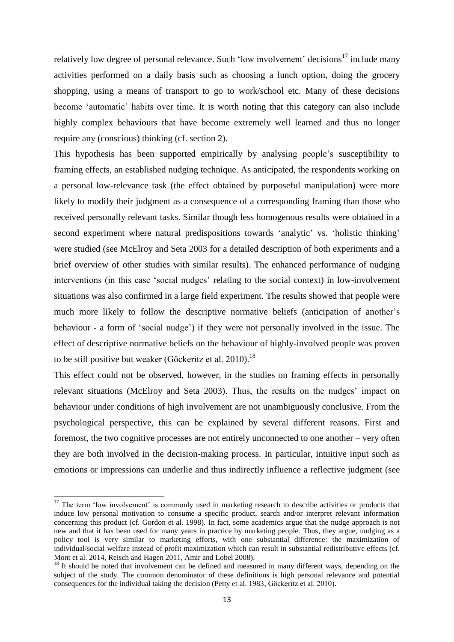relatively low degree of personal relevance. Such 'low involvement' decisions<sup>17</sup> include many activities performed on a daily basis such as choosing a lunch option, doing the grocery shopping, using a means of transport to go to work/school etc. Many of these decisions become 'automatic' habits over time. It is worth noting that this category can also include highly complex behaviours that have become extremely well learned and thus no longer require any (conscious) thinking (cf. section 2).

This hypothesis has been supported empirically by analysing people's susceptibility to framing effects, an established nudging technique. As anticipated, the respondents working on a personal low-relevance task (the effect obtained by purposeful manipulation) were more likely to modify their judgment as a consequence of a corresponding framing than those who received personally relevant tasks. Similar though less homogenous results were obtained in a second experiment where natural predispositions towards 'analytic' vs. 'holistic thinking' were studied (see McElroy and Seta 2003 for a detailed description of both experiments and a brief overview of other studies with similar results). The enhanced performance of nudging interventions (in this case 'social nudges' relating to the social context) in low-involvement situations was also confirmed in a large field experiment. The results showed that people were much more likely to follow the descriptive normative beliefs (anticipation of another's behaviour - a form of 'social nudge') if they were not personally involved in the issue. The effect of descriptive normative beliefs on the behaviour of highly-involved people was proven to be still positive but weaker (Göckeritz et al.  $2010$ ).<sup>18</sup>

This effect could not be observed, however, in the studies on framing effects in personally relevant situations (McElroy and Seta 2003). Thus, the results on the nudges' impact on behaviour under conditions of high involvement are not unambiguously conclusive. From the psychological perspective, this can be explained by several different reasons. First and foremost, the two cognitive processes are not entirely unconnected to one another – very often they are both involved in the decision-making process. In particular, intuitive input such as emotions or impressions can underlie and thus indirectly influence a reflective judgment (see

<sup>&</sup>lt;sup>17</sup> The term 'low involvement' is commonly used in marketing research to describe activities or products that induce low personal motivation to consume a specific product, search and/or interpret relevant information concerning this product (cf. Gordon et al. 1998). In fact, some academics argue that the nudge approach is not new and that it has been used for many years in practice by marketing people. Thus, they argue, nudging as a policy tool is very similar to marketing efforts, with one substantial difference: the maximization of individual/social welfare instead of profit maximization which can result in substantial redistributive effects (cf. Mont et al. 2014, Reisch and Hagen 2011, Amir and Lobel 2008).

<sup>&</sup>lt;sup>18</sup> It should be noted that involvement can be defined and measured in many different ways, depending on the subject of the study. The common denominator of these definitions is high personal relevance and potential consequences for the individual taking the decision (Petty et al. 1983, Göckeritz et al. 2010).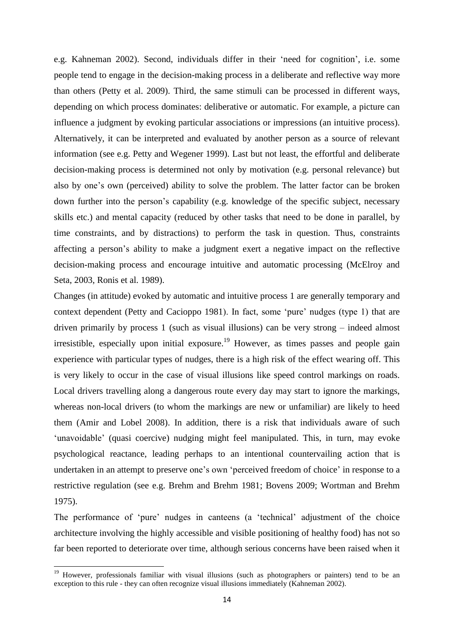e.g. Kahneman 2002). Second, individuals differ in their 'need for cognition', i.e. some people tend to engage in the decision-making process in a deliberate and reflective way more than others (Petty et al. 2009). Third, the same stimuli can be processed in different ways, depending on which process dominates: deliberative or automatic. For example, a picture can influence a judgment by evoking particular associations or impressions (an intuitive process). Alternatively, it can be interpreted and evaluated by another person as a source of relevant information (see e.g. Petty and Wegener 1999). Last but not least, the effortful and deliberate decision-making process is determined not only by motivation (e.g. personal relevance) but also by one's own (perceived) ability to solve the problem. The latter factor can be broken down further into the person's capability (e.g. knowledge of the specific subject, necessary skills etc.) and mental capacity (reduced by other tasks that need to be done in parallel, by time constraints, and by distractions) to perform the task in question. Thus, constraints affecting a person's ability to make a judgment exert a negative impact on the reflective decision-making process and encourage intuitive and automatic processing (McElroy and Seta, 2003, Ronis et al. 1989).

Changes (in attitude) evoked by automatic and intuitive process 1 are generally temporary and context dependent (Petty and Cacioppo 1981). In fact, some 'pure' nudges (type 1) that are driven primarily by process 1 (such as visual illusions) can be very strong – indeed almost irresistible, especially upon initial exposure.<sup>19</sup> However, as times passes and people gain experience with particular types of nudges, there is a high risk of the effect wearing off. This is very likely to occur in the case of visual illusions like speed control markings on roads. Local drivers travelling along a dangerous route every day may start to ignore the markings, whereas non-local drivers (to whom the markings are new or unfamiliar) are likely to heed them (Amir and Lobel 2008). In addition, there is a risk that individuals aware of such 'unavoidable' (quasi coercive) nudging might feel manipulated. This, in turn, may evoke psychological reactance, leading perhaps to an intentional countervailing action that is undertaken in an attempt to preserve one's own 'perceived freedom of choice' in response to a restrictive regulation (see e.g. Brehm and Brehm 1981; Bovens 2009; Wortman and Brehm 1975).

The performance of 'pure' nudges in canteens (a 'technical' adjustment of the choice architecture involving the highly accessible and visible positioning of healthy food) has not so far been reported to deteriorate over time, although serious concerns have been raised when it

 $\ddot{\phantom{a}}$ 

<sup>&</sup>lt;sup>19</sup> However, professionals familiar with visual illusions (such as photographers or painters) tend to be an exception to this rule - they can often recognize visual illusions immediately (Kahneman 2002).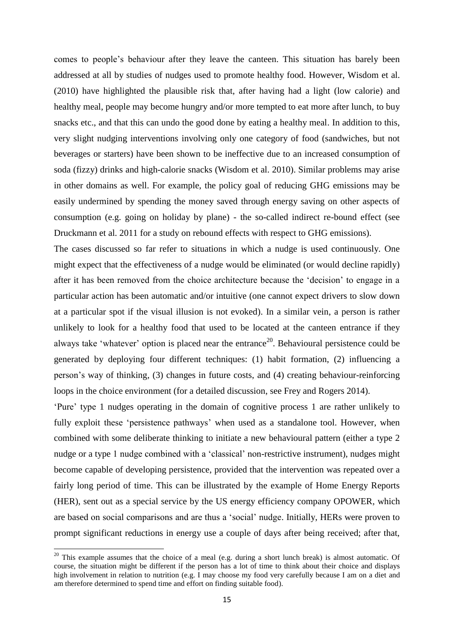comes to people's behaviour after they leave the canteen. This situation has barely been addressed at all by studies of nudges used to promote healthy food. However, Wisdom et al. (2010) have highlighted the plausible risk that, after having had a light (low calorie) and healthy meal, people may become hungry and/or more tempted to eat more after lunch, to buy snacks etc., and that this can undo the good done by eating a healthy meal. In addition to this, very slight nudging interventions involving only one category of food (sandwiches, but not beverages or starters) have been shown to be ineffective due to an increased consumption of soda (fizzy) drinks and high-calorie snacks (Wisdom et al. 2010). Similar problems may arise in other domains as well. For example, the policy goal of reducing GHG emissions may be easily undermined by spending the money saved through energy saving on other aspects of consumption (e.g. going on holiday by plane) - the so-called indirect re-bound effect (see Druckmann et al. 2011 for a study on rebound effects with respect to GHG emissions).

The cases discussed so far refer to situations in which a nudge is used continuously. One might expect that the effectiveness of a nudge would be eliminated (or would decline rapidly) after it has been removed from the choice architecture because the 'decision' to engage in a particular action has been automatic and/or intuitive (one cannot expect drivers to slow down at a particular spot if the visual illusion is not evoked). In a similar vein, a person is rather unlikely to look for a healthy food that used to be located at the canteen entrance if they always take 'whatever' option is placed near the entrance<sup>20</sup>. Behavioural persistence could be generated by deploying four different techniques: (1) habit formation, (2) influencing a person's way of thinking, (3) changes in future costs, and (4) creating behaviour-reinforcing loops in the choice environment (for a detailed discussion, see Frey and Rogers 2014).

'Pure' type 1 nudges operating in the domain of cognitive process 1 are rather unlikely to fully exploit these 'persistence pathways' when used as a standalone tool. However, when combined with some deliberate thinking to initiate a new behavioural pattern (either a type 2 nudge or a type 1 nudge combined with a 'classical' non-restrictive instrument), nudges might become capable of developing persistence, provided that the intervention was repeated over a fairly long period of time. This can be illustrated by the example of Home Energy Reports (HER), sent out as a special service by the US energy efficiency company OPOWER, which are based on social comparisons and are thus a 'social' nudge. Initially, HERs were proven to prompt significant reductions in energy use a couple of days after being received; after that,

 $20$  This example assumes that the choice of a meal (e.g. during a short lunch break) is almost automatic. Of course, the situation might be different if the person has a lot of time to think about their choice and displays high involvement in relation to nutrition (e.g. I may choose my food very carefully because I am on a diet and am therefore determined to spend time and effort on finding suitable food).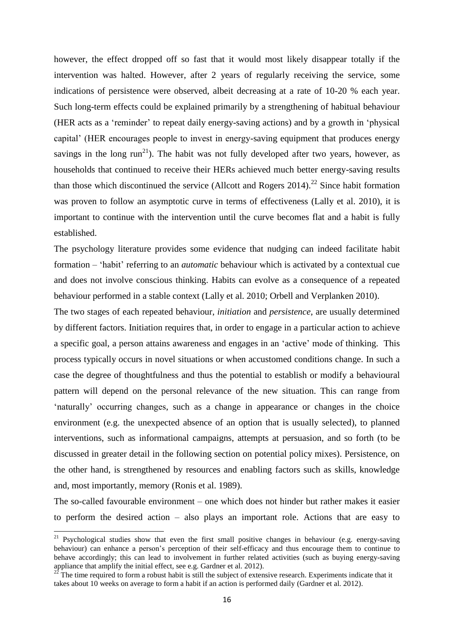however, the effect dropped off so fast that it would most likely disappear totally if the intervention was halted. However, after 2 years of regularly receiving the service, some indications of persistence were observed, albeit decreasing at a rate of 10-20 % each year. Such long-term effects could be explained primarily by a strengthening of habitual behaviour (HER acts as a 'reminder' to repeat daily energy-saving actions) and by a growth in 'physical capital' (HER encourages people to invest in energy-saving equipment that produces energy savings in the long  $run^{21}$ ). The habit was not fully developed after two years, however, as households that continued to receive their HERs achieved much better energy-saving results than those which discontinued the service (Allcott and Rogers  $2014$ ).<sup>22</sup> Since habit formation was proven to follow an asymptotic curve in terms of effectiveness (Lally et al. 2010), it is important to continue with the intervention until the curve becomes flat and a habit is fully established.

The psychology literature provides some evidence that nudging can indeed facilitate habit formation – 'habit' referring to an *automatic* behaviour which is activated by a contextual cue and does not involve conscious thinking. Habits can evolve as a consequence of a repeated behaviour performed in a stable context (Lally et al. 2010; Orbell and Verplanken 2010).

The two stages of each repeated behaviour, *initiation* and *persistence*, are usually determined by different factors. Initiation requires that, in order to engage in a particular action to achieve a specific goal, a person attains awareness and engages in an 'active' mode of thinking. This process typically occurs in novel situations or when accustomed conditions change. In such a case the degree of thoughtfulness and thus the potential to establish or modify a behavioural pattern will depend on the personal relevance of the new situation. This can range from 'naturally' occurring changes, such as a change in appearance or changes in the choice environment (e.g. the unexpected absence of an option that is usually selected), to planned interventions, such as informational campaigns, attempts at persuasion, and so forth (to be discussed in greater detail in the following section on potential policy mixes). Persistence, on the other hand, is strengthened by resources and enabling factors such as skills, knowledge and, most importantly, memory (Ronis et al. 1989).

The so-called favourable environment – one which does not hinder but rather makes it easier to perform the desired action – also plays an important role. Actions that are easy to

<sup>&</sup>lt;sup>21</sup> Psychological studies show that even the first small positive changes in behaviour (e.g. energy-saving behaviour) can enhance a person's perception of their self-efficacy and thus encourage them to continue to behave accordingly; this can lead to involvement in further related activities (such as buying energy-saving appliance that amplify the initial effect, see e.g. Gardner et al. 2012).

The time required to form a robust habit is still the subject of extensive research. Experiments indicate that it takes about 10 weeks on average to form a habit if an action is performed daily (Gardner et al. 2012).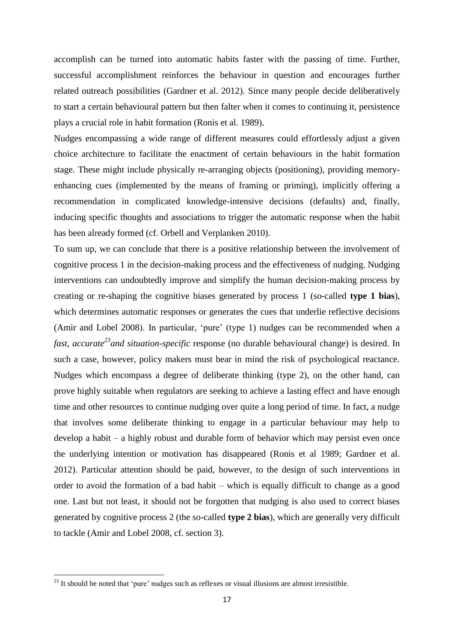accomplish can be turned into automatic habits faster with the passing of time. Further, successful accomplishment reinforces the behaviour in question and encourages further related outreach possibilities (Gardner et al. 2012). Since many people decide deliberatively to start a certain behavioural pattern but then falter when it comes to continuing it, persistence plays a crucial role in habit formation (Ronis et al. 1989).

Nudges encompassing a wide range of different measures could effortlessly adjust a given choice architecture to facilitate the enactment of certain behaviours in the habit formation stage. These might include physically re-arranging objects (positioning), providing memoryenhancing cues (implemented by the means of framing or priming), implicitly offering a recommendation in complicated knowledge-intensive decisions (defaults) and, finally, inducing specific thoughts and associations to trigger the automatic response when the habit has been already formed (cf. Orbell and Verplanken 2010).

To sum up, we can conclude that there is a positive relationship between the involvement of cognitive process 1 in the decision-making process and the effectiveness of nudging. Nudging interventions can undoubtedly improve and simplify the human decision-making process by creating or re-shaping the cognitive biases generated by process 1 (so-called **type 1 bias**), which determines automatic responses or generates the cues that underlie reflective decisions (Amir and Lobel 2008). In particular, 'pure' (type 1) nudges can be recommended when a *fast, accurate<sup>23</sup>and situation-specific* response (no durable behavioural change) is desired. In such a case, however, policy makers must bear in mind the risk of psychological reactance. Nudges which encompass a degree of deliberate thinking (type 2), on the other hand, can prove highly suitable when regulators are seeking to achieve a lasting effect and have enough time and other resources to continue nudging over quite a long period of time. In fact, a nudge that involves some deliberate thinking to engage in a particular behaviour may help to develop a habit – a highly robust and durable form of behavior which may persist even once the underlying intention or motivation has disappeared (Ronis et al 1989; Gardner et al. 2012). Particular attention should be paid, however, to the design of such interventions in order to avoid the formation of a bad habit – which is equally difficult to change as a good one. Last but not least, it should not be forgotten that nudging is also used to correct biases generated by cognitive process 2 (the so-called **type 2 bias**), which are generally very difficult to tackle (Amir and Lobel 2008, cf. section 3).

 $^{23}$  It should be noted that 'pure' nudges such as reflexes or visual illusions are almost irresistible.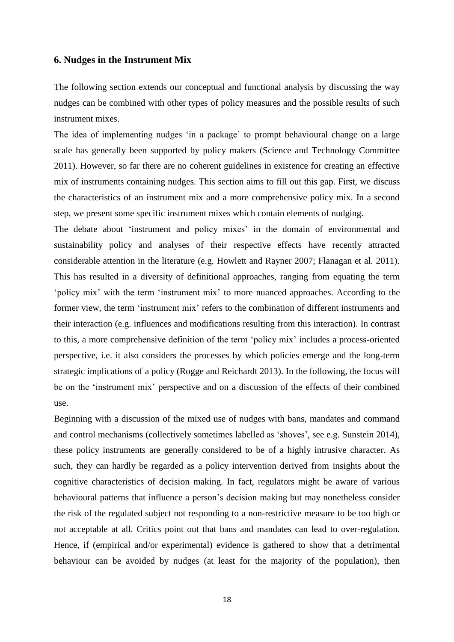#### **6. Nudges in the Instrument Mix**

The following section extends our conceptual and functional analysis by discussing the way nudges can be combined with other types of policy measures and the possible results of such instrument mixes.

The idea of implementing nudges 'in a package' to prompt behavioural change on a large scale has generally been supported by policy makers (Science and Technology Committee 2011). However, so far there are no coherent guidelines in existence for creating an effective mix of instruments containing nudges. This section aims to fill out this gap. First, we discuss the characteristics of an instrument mix and a more comprehensive policy mix. In a second step, we present some specific instrument mixes which contain elements of nudging.

The debate about 'instrument and policy mixes' in the domain of environmental and sustainability policy and analyses of their respective effects have recently attracted considerable attention in the literature (e.g. Howlett and Rayner 2007; Flanagan et al. 2011). This has resulted in a diversity of definitional approaches, ranging from equating the term 'policy mix' with the term 'instrument mix' to more nuanced approaches. According to the former view, the term 'instrument mix' refers to the combination of different instruments and their interaction (e.g. influences and modifications resulting from this interaction). In contrast to this, a more comprehensive definition of the term 'policy mix' includes a process-oriented perspective, i.e. it also considers the processes by which policies emerge and the long-term strategic implications of a policy (Rogge and Reichardt 2013). In the following, the focus will be on the 'instrument mix' perspective and on a discussion of the effects of their combined use.

Beginning with a discussion of the mixed use of nudges with bans, mandates and command and control mechanisms (collectively sometimes labelled as 'shoves', see e.g. Sunstein 2014), these policy instruments are generally considered to be of a highly intrusive character. As such, they can hardly be regarded as a policy intervention derived from insights about the cognitive characteristics of decision making. In fact, regulators might be aware of various behavioural patterns that influence a person's decision making but may nonetheless consider the risk of the regulated subject not responding to a non-restrictive measure to be too high or not acceptable at all. Critics point out that bans and mandates can lead to over-regulation. Hence, if (empirical and/or experimental) evidence is gathered to show that a detrimental behaviour can be avoided by nudges (at least for the majority of the population), then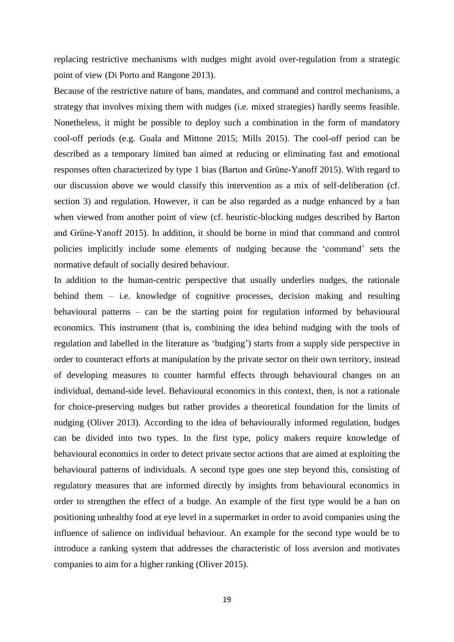replacing restrictive mechanisms with nudges might avoid over-regulation from a strategic point of view (Di Porto and Rangone 2013).

Because of the restrictive nature of bans, mandates, and command and control mechanisms, a strategy that involves mixing them with nudges (i.e. mixed strategies) hardly seems feasible. Nonetheless, it might be possible to deploy such a combination in the form of mandatory cool-off periods (e.g. Guala and Mittone 2015; Mills 2015). The cool-off period can be described as a temporary limited ban aimed at reducing or eliminating fast and emotional responses often characterized by type 1 bias (Barton and Grüne-Yanoff 2015). With regard to our discussion above we would classify this intervention as a mix of self-deliberation (cf. section 3) and regulation. However, it can be also regarded as a nudge enhanced by a ban when viewed from another point of view (cf. heuristic-blocking nudges described by Barton and Grüne-Yanoff 2015). In addition, it should be borne in mind that command and control policies implicitly include some elements of nudging because the 'command' sets the normative default of socially desired behaviour.

In addition to the human-centric perspective that usually underlies nudges, the rationale behind them – i.e. knowledge of cognitive processes, decision making and resulting behavioural patterns – can be the starting point for regulation informed by behavioural economics. This instrument (that is, combining the idea behind nudging with the tools of regulation and labelled in the literature as 'budging') starts from a supply side perspective in order to counteract efforts at manipulation by the private sector on their own territory, instead of developing measures to counter harmful effects through behavioural changes on an individual, demand-side level. Behavioural economics in this context, then, is not a rationale for choice-preserving nudges but rather provides a theoretical foundation for the limits of nudging (Oliver 2013). According to the idea of behaviourally informed regulation, budges can be divided into two types. In the first type, policy makers require knowledge of behavioural economics in order to detect private sector actions that are aimed at exploiting the behavioural patterns of individuals. A second type goes one step beyond this, consisting of regulatory measures that are informed directly by insights from behavioural economics in order to strengthen the effect of a budge. An example of the first type would be a ban on positioning unhealthy food at eye level in a supermarket in order to avoid companies using the influence of salience on individual behaviour. An example for the second type would be to introduce a ranking system that addresses the characteristic of loss aversion and motivates companies to aim for a higher ranking (Oliver 2015).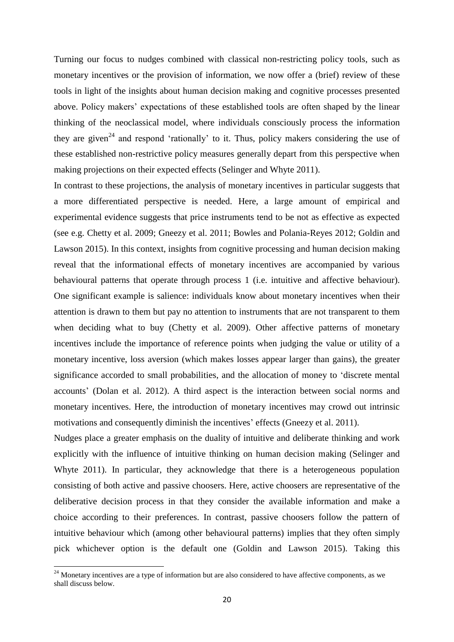Turning our focus to nudges combined with classical non-restricting policy tools, such as monetary incentives or the provision of information, we now offer a (brief) review of these tools in light of the insights about human decision making and cognitive processes presented above. Policy makers' expectations of these established tools are often shaped by the linear thinking of the neoclassical model, where individuals consciously process the information they are given<sup>24</sup> and respond 'rationally' to it. Thus, policy makers considering the use of these established non-restrictive policy measures generally depart from this perspective when making projections on their expected effects (Selinger and Whyte 2011).

In contrast to these projections, the analysis of monetary incentives in particular suggests that a more differentiated perspective is needed. Here, a large amount of empirical and experimental evidence suggests that price instruments tend to be not as effective as expected (see e.g. Chetty et al. 2009; Gneezy et al. 2011; Bowles and Polania-Reyes 2012; Goldin and Lawson 2015). In this context, insights from cognitive processing and human decision making reveal that the informational effects of monetary incentives are accompanied by various behavioural patterns that operate through process 1 (i.e. intuitive and affective behaviour). One significant example is salience: individuals know about monetary incentives when their attention is drawn to them but pay no attention to instruments that are not transparent to them when deciding what to buy (Chetty et al. 2009). Other affective patterns of monetary incentives include the importance of reference points when judging the value or utility of a monetary incentive, loss aversion (which makes losses appear larger than gains), the greater significance accorded to small probabilities, and the allocation of money to 'discrete mental accounts' (Dolan et al. 2012). A third aspect is the interaction between social norms and monetary incentives. Here, the introduction of monetary incentives may crowd out intrinsic motivations and consequently diminish the incentives' effects (Gneezy et al. 2011).

Nudges place a greater emphasis on the duality of intuitive and deliberate thinking and work explicitly with the influence of intuitive thinking on human decision making (Selinger and Whyte 2011). In particular, they acknowledge that there is a heterogeneous population consisting of both active and passive choosers. Here, active choosers are representative of the deliberative decision process in that they consider the available information and make a choice according to their preferences. In contrast, passive choosers follow the pattern of intuitive behaviour which (among other behavioural patterns) implies that they often simply pick whichever option is the default one (Goldin and Lawson 2015). Taking this

 $\ddot{\phantom{a}}$ 

 $24$  Monetary incentives are a type of information but are also considered to have affective components, as we shall discuss below.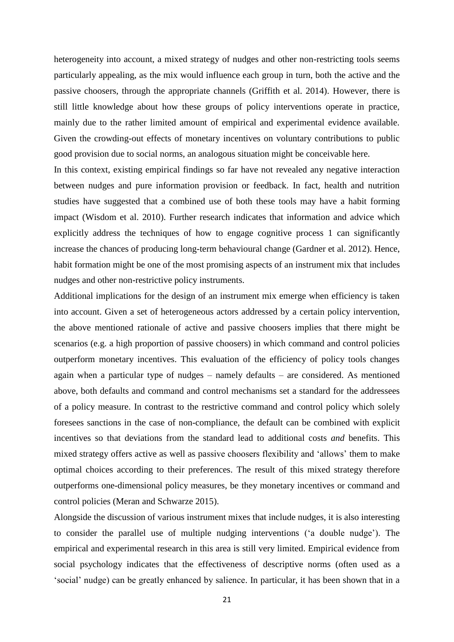heterogeneity into account, a mixed strategy of nudges and other non-restricting tools seems particularly appealing, as the mix would influence each group in turn, both the active and the passive choosers, through the appropriate channels (Griffith et al. 2014). However, there is still little knowledge about how these groups of policy interventions operate in practice, mainly due to the rather limited amount of empirical and experimental evidence available. Given the crowding-out effects of monetary incentives on voluntary contributions to public good provision due to social norms, an analogous situation might be conceivable here.

In this context, existing empirical findings so far have not revealed any negative interaction between nudges and pure information provision or feedback. In fact, health and nutrition studies have suggested that a combined use of both these tools may have a habit forming impact (Wisdom et al. 2010). Further research indicates that information and advice which explicitly address the techniques of how to engage cognitive process 1 can significantly increase the chances of producing long-term behavioural change (Gardner et al. 2012). Hence, habit formation might be one of the most promising aspects of an instrument mix that includes nudges and other non-restrictive policy instruments.

Additional implications for the design of an instrument mix emerge when efficiency is taken into account. Given a set of heterogeneous actors addressed by a certain policy intervention, the above mentioned rationale of active and passive choosers implies that there might be scenarios (e.g. a high proportion of passive choosers) in which command and control policies outperform monetary incentives. This evaluation of the efficiency of policy tools changes again when a particular type of nudges – namely defaults – are considered. As mentioned above, both defaults and command and control mechanisms set a standard for the addressees of a policy measure. In contrast to the restrictive command and control policy which solely foresees sanctions in the case of non-compliance, the default can be combined with explicit incentives so that deviations from the standard lead to additional costs *and* benefits. This mixed strategy offers active as well as passive choosers flexibility and 'allows' them to make optimal choices according to their preferences. The result of this mixed strategy therefore outperforms one-dimensional policy measures, be they monetary incentives or command and control policies (Meran and Schwarze 2015).

Alongside the discussion of various instrument mixes that include nudges, it is also interesting to consider the parallel use of multiple nudging interventions ('a double nudge'). The empirical and experimental research in this area is still very limited. Empirical evidence from social psychology indicates that the effectiveness of descriptive norms (often used as a 'social' nudge) can be greatly enhanced by salience. In particular, it has been shown that in a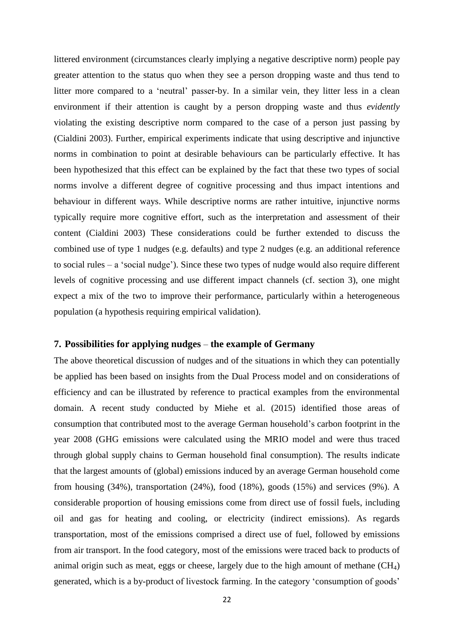littered environment (circumstances clearly implying a negative descriptive norm) people pay greater attention to the status quo when they see a person dropping waste and thus tend to litter more compared to a 'neutral' passer-by. In a similar vein, they litter less in a clean environment if their attention is caught by a person dropping waste and thus *evidently*  violating the existing descriptive norm compared to the case of a person just passing by (Cialdini 2003). Further, empirical experiments indicate that using descriptive and injunctive norms in combination to point at desirable behaviours can be particularly effective. It has been hypothesized that this effect can be explained by the fact that these two types of social norms involve a different degree of cognitive processing and thus impact intentions and behaviour in different ways. While descriptive norms are rather intuitive, injunctive norms typically require more cognitive effort, such as the interpretation and assessment of their content (Cialdini 2003) These considerations could be further extended to discuss the combined use of type 1 nudges (e.g. defaults) and type 2 nudges (e.g. an additional reference to social rules – a 'social nudge'). Since these two types of nudge would also require different levels of cognitive processing and use different impact channels (cf. section 3), one might expect a mix of the two to improve their performance, particularly within a heterogeneous population (a hypothesis requiring empirical validation).

#### **7. Possibilities for applying nudges** – **the example of Germany**

The above theoretical discussion of nudges and of the situations in which they can potentially be applied has been based on insights from the Dual Process model and on considerations of efficiency and can be illustrated by reference to practical examples from the environmental domain. A recent study conducted by Miehe et al. (2015) identified those areas of consumption that contributed most to the average German household's carbon footprint in the year 2008 (GHG emissions were calculated using the MRIO model and were thus traced through global supply chains to German household final consumption). The results indicate that the largest amounts of (global) emissions induced by an average German household come from housing (34%), transportation (24%), food (18%), goods (15%) and services (9%). A considerable proportion of housing emissions come from direct use of fossil fuels, including oil and gas for heating and cooling, or electricity (indirect emissions). As regards transportation, most of the emissions comprised a direct use of fuel, followed by emissions from air transport. In the food category, most of the emissions were traced back to products of animal origin such as meat, eggs or cheese, largely due to the high amount of methane  $(CH<sub>4</sub>)$ generated, which is a by-product of livestock farming. In the category 'consumption of goods'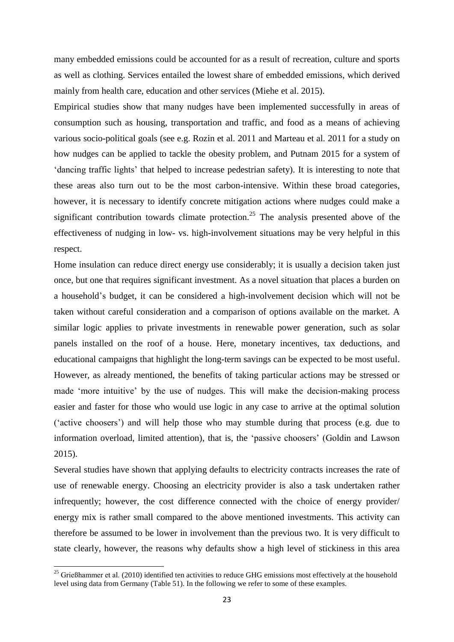many embedded emissions could be accounted for as a result of recreation, culture and sports as well as clothing. Services entailed the lowest share of embedded emissions, which derived mainly from health care, education and other services (Miehe et al. 2015).

Empirical studies show that many nudges have been implemented successfully in areas of consumption such as housing, transportation and traffic, and food as a means of achieving various socio-political goals (see e.g. Rozin et al. 2011 and Marteau et al. 2011 for a study on how nudges can be applied to tackle the obesity problem, and Putnam 2015 for a system of 'dancing traffic lights' that helped to increase pedestrian safety). It is interesting to note that these areas also turn out to be the most carbon-intensive. Within these broad categories, however, it is necessary to identify concrete mitigation actions where nudges could make a significant contribution towards climate protection.<sup>25</sup> The analysis presented above of the effectiveness of nudging in low- vs. high-involvement situations may be very helpful in this respect.

Home insulation can reduce direct energy use considerably; it is usually a decision taken just once, but one that requires significant investment. As a novel situation that places a burden on a household's budget, it can be considered a high-involvement decision which will not be taken without careful consideration and a comparison of options available on the market. A similar logic applies to private investments in renewable power generation, such as solar panels installed on the roof of a house. Here, monetary incentives, tax deductions, and educational campaigns that highlight the long-term savings can be expected to be most useful. However, as already mentioned, the benefits of taking particular actions may be stressed or made 'more intuitive' by the use of nudges. This will make the decision-making process easier and faster for those who would use logic in any case to arrive at the optimal solution ('active choosers') and will help those who may stumble during that process (e.g. due to information overload, limited attention), that is, the 'passive choosers' (Goldin and Lawson 2015).

Several studies have shown that applying defaults to electricity contracts increases the rate of use of renewable energy. Choosing an electricity provider is also a task undertaken rather infrequently; however, the cost difference connected with the choice of energy provider/ energy mix is rather small compared to the above mentioned investments. This activity can therefore be assumed to be lower in involvement than the previous two. It is very difficult to state clearly, however, the reasons why defaults show a high level of stickiness in this area

 $\ddot{\phantom{a}}$ 

 $25$  Grießhammer et al. (2010) identified ten activities to reduce GHG emissions most effectively at the household level using data from Germany (Table 51). In the following we refer to some of these examples.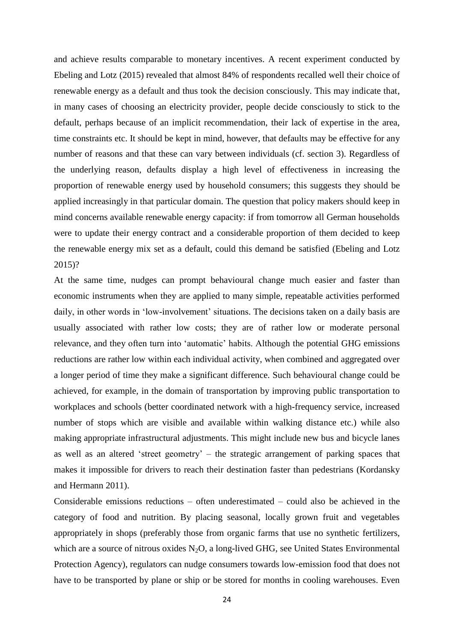and achieve results comparable to monetary incentives. A recent experiment conducted by Ebeling and Lotz (2015) revealed that almost 84% of respondents recalled well their choice of renewable energy as a default and thus took the decision consciously. This may indicate that, in many cases of choosing an electricity provider, people decide consciously to stick to the default, perhaps because of an implicit recommendation, their lack of expertise in the area, time constraints etc. It should be kept in mind, however, that defaults may be effective for any number of reasons and that these can vary between individuals (cf. section 3). Regardless of the underlying reason, defaults display a high level of effectiveness in increasing the proportion of renewable energy used by household consumers; this suggests they should be applied increasingly in that particular domain. The question that policy makers should keep in mind concerns available renewable energy capacity: if from tomorrow all German households were to update their energy contract and a considerable proportion of them decided to keep the renewable energy mix set as a default, could this demand be satisfied (Ebeling and Lotz 2015)?

At the same time, nudges can prompt behavioural change much easier and faster than economic instruments when they are applied to many simple, repeatable activities performed daily, in other words in 'low-involvement' situations. The decisions taken on a daily basis are usually associated with rather low costs; they are of rather low or moderate personal relevance, and they often turn into 'automatic' habits. Although the potential GHG emissions reductions are rather low within each individual activity, when combined and aggregated over a longer period of time they make a significant difference. Such behavioural change could be achieved, for example, in the domain of transportation by improving public transportation to workplaces and schools (better coordinated network with a high-frequency service, increased number of stops which are visible and available within walking distance etc.) while also making appropriate infrastructural adjustments. This might include new bus and bicycle lanes as well as an altered 'street geometry' – the strategic arrangement of parking spaces that makes it impossible for drivers to reach their destination faster than pedestrians (Kordansky and Hermann 2011).

Considerable emissions reductions – often underestimated – could also be achieved in the category of food and nutrition. By placing seasonal, locally grown fruit and vegetables appropriately in shops (preferably those from organic farms that use no synthetic fertilizers, which are a source of nitrous oxides  $N_2O$ , a long-lived GHG, see United States Environmental Protection Agency), regulators can nudge consumers towards low-emission food that does not have to be transported by plane or ship or be stored for months in cooling warehouses. Even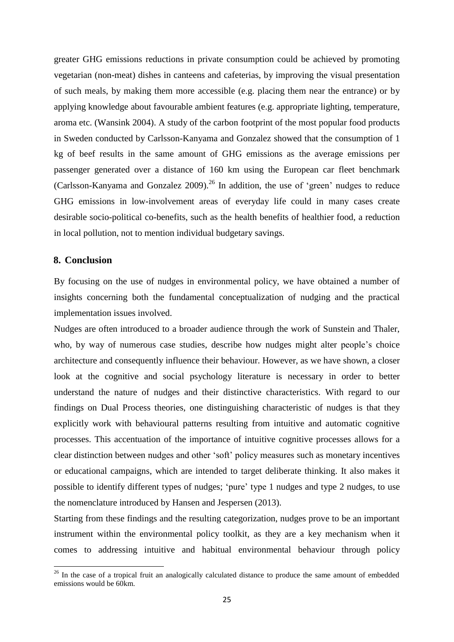greater GHG emissions reductions in private consumption could be achieved by promoting vegetarian (non-meat) dishes in canteens and cafeterias, by improving the visual presentation of such meals, by making them more accessible (e.g. placing them near the entrance) or by applying knowledge about favourable ambient features (e.g. appropriate lighting, temperature, aroma etc. (Wansink 2004). A study of the carbon footprint of the most popular food products in Sweden conducted by Carlsson-Kanyama and Gonzalez showed that the consumption of 1 kg of beef results in the same amount of GHG emissions as the average emissions per passenger generated over a distance of 160 km using the European car fleet benchmark (Carlsson-Kanyama and Gonzalez  $2009$ )<sup>26</sup> In addition, the use of 'green' nudges to reduce GHG emissions in low-involvement areas of everyday life could in many cases create desirable socio-political co-benefits, such as the health benefits of healthier food, a reduction in local pollution, not to mention individual budgetary savings.

#### **8. Conclusion**

 $\ddot{\phantom{a}}$ 

By focusing on the use of nudges in environmental policy, we have obtained a number of insights concerning both the fundamental conceptualization of nudging and the practical implementation issues involved.

Nudges are often introduced to a broader audience through the work of Sunstein and Thaler, who, by way of numerous case studies, describe how nudges might alter people's choice architecture and consequently influence their behaviour. However, as we have shown, a closer look at the cognitive and social psychology literature is necessary in order to better understand the nature of nudges and their distinctive characteristics. With regard to our findings on Dual Process theories, one distinguishing characteristic of nudges is that they explicitly work with behavioural patterns resulting from intuitive and automatic cognitive processes. This accentuation of the importance of intuitive cognitive processes allows for a clear distinction between nudges and other 'soft' policy measures such as monetary incentives or educational campaigns, which are intended to target deliberate thinking. It also makes it possible to identify different types of nudges; 'pure' type 1 nudges and type 2 nudges, to use the nomenclature introduced by Hansen and Jespersen (2013).

Starting from these findings and the resulting categorization, nudges prove to be an important instrument within the environmental policy toolkit, as they are a key mechanism when it comes to addressing intuitive and habitual environmental behaviour through policy

<sup>&</sup>lt;sup>26</sup> In the case of a tropical fruit an analogically calculated distance to produce the same amount of embedded emissions would be 60km.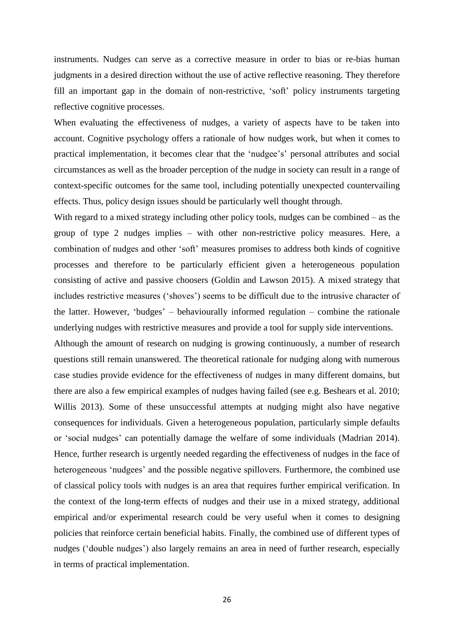instruments. Nudges can serve as a corrective measure in order to bias or re-bias human judgments in a desired direction without the use of active reflective reasoning. They therefore fill an important gap in the domain of non-restrictive, 'soft' policy instruments targeting reflective cognitive processes.

When evaluating the effectiveness of nudges, a variety of aspects have to be taken into account. Cognitive psychology offers a rationale of how nudges work, but when it comes to practical implementation, it becomes clear that the 'nudgee's' personal attributes and social circumstances as well as the broader perception of the nudge in society can result in a range of context-specific outcomes for the same tool, including potentially unexpected countervailing effects. Thus, policy design issues should be particularly well thought through.

With regard to a mixed strategy including other policy tools, nudges can be combined – as the group of type 2 nudges implies – with other non-restrictive policy measures. Here, a combination of nudges and other 'soft' measures promises to address both kinds of cognitive processes and therefore to be particularly efficient given a heterogeneous population consisting of active and passive choosers (Goldin and Lawson 2015). A mixed strategy that includes restrictive measures ('shoves') seems to be difficult due to the intrusive character of the latter. However, 'budges' – behaviourally informed regulation – combine the rationale underlying nudges with restrictive measures and provide a tool for supply side interventions.

Although the amount of research on nudging is growing continuously, a number of research questions still remain unanswered. The theoretical rationale for nudging along with numerous case studies provide evidence for the effectiveness of nudges in many different domains, but there are also a few empirical examples of nudges having failed (see e.g. Beshears et al. 2010; Willis 2013). Some of these unsuccessful attempts at nudging might also have negative consequences for individuals. Given a heterogeneous population, particularly simple defaults or 'social nudges' can potentially damage the welfare of some individuals (Madrian 2014). Hence, further research is urgently needed regarding the effectiveness of nudges in the face of heterogeneous 'nudgees' and the possible negative spillovers. Furthermore, the combined use of classical policy tools with nudges is an area that requires further empirical verification. In the context of the long-term effects of nudges and their use in a mixed strategy, additional empirical and/or experimental research could be very useful when it comes to designing policies that reinforce certain beneficial habits. Finally, the combined use of different types of nudges ('double nudges') also largely remains an area in need of further research, especially in terms of practical implementation.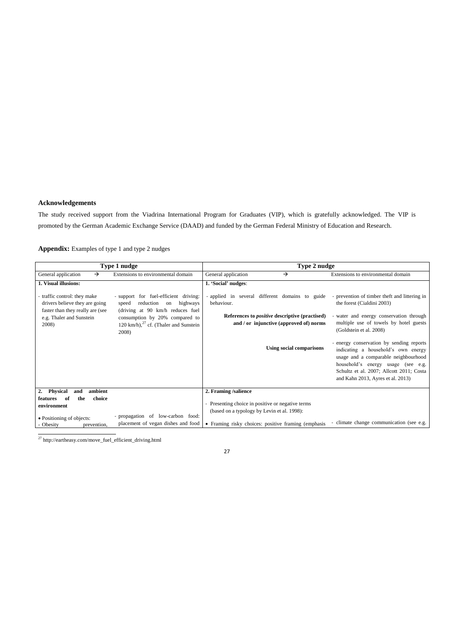#### **Acknowledgements**

The study received support from the Viadrina International Program for Graduates (VIP), which is gratefully acknowledged. The VIP is promoted by the German Academic Exchange Service (DAAD) and funded by the German Federal Ministry of Education and Research.

**Appendix:** Examples of type 1 and type 2 nudges

|                                                                              | Type 1 nudge                                                                                                                     | Type 2 nudge                                |                                                                                                  |                                                                                                                                                                                                                                                |
|------------------------------------------------------------------------------|----------------------------------------------------------------------------------------------------------------------------------|---------------------------------------------|--------------------------------------------------------------------------------------------------|------------------------------------------------------------------------------------------------------------------------------------------------------------------------------------------------------------------------------------------------|
| General application<br>$\rightarrow$                                         | Extensions to environmental domain                                                                                               | General application                         | →                                                                                                | Extensions to environmental domain                                                                                                                                                                                                             |
| 1. Visual illusions:                                                         |                                                                                                                                  | 1. 'Social' nudges:                         |                                                                                                  |                                                                                                                                                                                                                                                |
| traffic control: they make<br>drivers believe they are going                 | - support for fuel-efficient driving:<br>highways<br>reduction<br>on<br>speed                                                    | behaviour.                                  |                                                                                                  | - applied in several different domains to guide - prevention of timber theft and littering in<br>the forest (Cialdini 2003)                                                                                                                    |
| faster than they really are (see<br>e.g. Thaler and Sunstein<br>2008)        | (driving at 90 km/h reduces fuel<br>consumption by 20% compared to<br>120 km/h), <sup>27</sup> cf. (Thaler and Sunstein<br>2008) |                                             | References to <i>positive</i> descriptive (practised)<br>and / or injunctive (approved of) norms | - water and energy conservation through<br>multiple use of towels by hotel guests<br>(Goldstein et al. 2008)                                                                                                                                   |
|                                                                              |                                                                                                                                  |                                             | <b>Using social comparisons</b>                                                                  | - energy conservation by sending reports<br>indicating a household's own energy<br>usage and a comparable neighbourhood<br>household's energy usage (see e.g.<br>Schultz et al. 2007; Allcott 2011; Costa<br>and Kahn 2013, Ayres et al. 2013) |
| <b>Physical</b><br>ambient<br>2.<br>and                                      |                                                                                                                                  | 2. Framing /salience                        |                                                                                                  |                                                                                                                                                                                                                                                |
| choice<br>features<br>the<br>-of<br>environment<br>• Positioning of objects: | - propagation of low-carbon food:                                                                                                | (based on a typology by Levin et al. 1998): | - Presenting choice in positive or negative terms                                                |                                                                                                                                                                                                                                                |
| Obesity<br>prevention.                                                       | placement of vegan dishes and food                                                                                               |                                             | • Framing risky choices: positive framing (emphasis                                              | - climate change communication (see e.g.                                                                                                                                                                                                       |

<sup>27</sup> http://eartheasy.com/move\_fuel\_efficient\_driving.html

27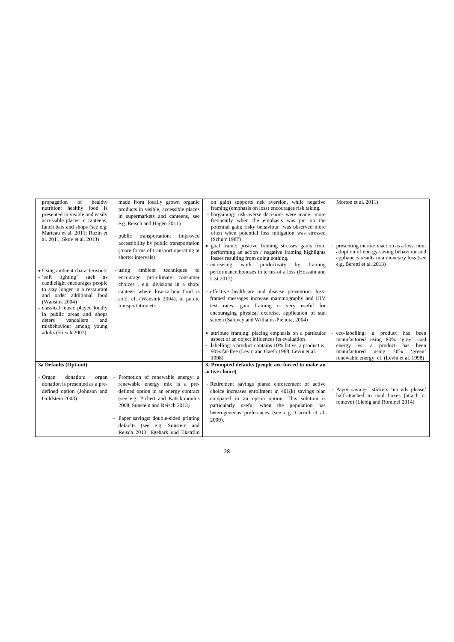| of<br>healthy<br>propagation<br>nutrition: healthy food is<br>presented in visible and easily<br>accessible places in canteens,<br>lunch bars and shops (see e.g.<br>Marteau et al. 2011: Rozin et<br>al. 2011; Skov et al. 2013) | made from locally grown organic<br>products in visible, accessible places<br>in supermarkets and canteens, see<br>e.g. Reisch and Hagen 2011)<br>- public<br>transportation:<br>improved<br>accessibility by public transportation | on gain) supports risk aversion, while negative<br>framing (emphasis on loss) encourages risk taking.<br>- bargaining: risk-averse decisions were made more<br>frequently when the emphasis was put on the<br>potential gain; risky behaviour was observed more<br>often when potential loss mitigation was stressed<br>(Schurr 1987) | Morton et al. 2011)                                                                                                                                                                                                       |
|-----------------------------------------------------------------------------------------------------------------------------------------------------------------------------------------------------------------------------------|------------------------------------------------------------------------------------------------------------------------------------------------------------------------------------------------------------------------------------|---------------------------------------------------------------------------------------------------------------------------------------------------------------------------------------------------------------------------------------------------------------------------------------------------------------------------------------|---------------------------------------------------------------------------------------------------------------------------------------------------------------------------------------------------------------------------|
|                                                                                                                                                                                                                                   | (more forms of transport operating at<br>shorter intervals)                                                                                                                                                                        | · goal frame: positive framing stresses gains from<br>performing an action / negative framing highlights<br>losses resulting from doing nothing.<br>- increasing work productivity<br>by<br>framing                                                                                                                                   | presenting inertia/inaction as a loss: non-<br>adoption of energy-saving behaviour and<br>appliances results in a monetary loss (see<br>e.g. Beretti et al. 2013)                                                         |
| • Using ambient characteristics:<br>- 'soft lighting'<br>such as<br>candlelight encourages people                                                                                                                                 | techniques<br>ambient<br>- using<br>to<br>encourage pro-climate consumer<br>choices, e.g. divisions in a shop/<br>canteen where low-carbon food is<br>sold, cf. (Wansink 2004), in public<br>transportation etc.                   | performance bonuses in terms of a loss (Hossain and<br>List 2012)                                                                                                                                                                                                                                                                     |                                                                                                                                                                                                                           |
| to stay longer in a restaurant<br>and order additional food<br>(Wansink 2004)<br>classical music played loudly<br>in public areas and shops<br>deters<br>vandalism<br>and<br>misbehaviour among young                             |                                                                                                                                                                                                                                    | - effective healthcare and disease prevention: loss-<br>framed messages increase mammography and HIV<br>test rates; gain framing is very useful for<br>encouraging physical exercise, application of sun<br>screen (Salovey and Williams-Piehota, 2004)                                                                               |                                                                                                                                                                                                                           |
| adults (Hirsch 2007)                                                                                                                                                                                                              |                                                                                                                                                                                                                                    | • attribute framing: placing emphasis on a particular<br>aspect of an object influences its evaluation<br>- labelling: a product contains 10% fat vs. a product is<br>90% fat-free (Levin and Gaeth 1988, Levin et al.<br>1998)                                                                                                       | - eco-labelling:<br>a product<br>has<br>been<br>manufactured using 80%<br>'grey'<br>coal<br>a product<br>energy vs.<br>has<br>been<br>using $20%$<br>manufactured<br>'green'<br>renewable energy, cf. (Levin et al. 1998) |
| 3a Defaults (Opt-out)                                                                                                                                                                                                             |                                                                                                                                                                                                                                    | 3. Prompted defaults (people are forced to make an                                                                                                                                                                                                                                                                                    |                                                                                                                                                                                                                           |
| donation:<br>Organ<br>organ                                                                                                                                                                                                       | Promotion of renewable energy: a<br>$\overline{\phantom{a}}$                                                                                                                                                                       | active choice)                                                                                                                                                                                                                                                                                                                        |                                                                                                                                                                                                                           |
| donation is presented as a pre-<br>defined option (Johnson and<br>Goldstein 2003)                                                                                                                                                 | renewable energy mix is a pre-<br>defined option in an energy contract<br>(see e.g. Pichert and Katsikopoulos<br>2008, Sunstein and Reisch 2013)<br>- Paper savings: double-sided printing<br>defaults (see e.g. Sunstein and      | - Retirement savings plans: enforcement of active<br>choice increases enrollment in $401(k)$ savings plan<br>compared to an opt-in option. This solution is<br>particularly useful when the population has<br>heterogeneous preferences (see e.g. Carroll et al.<br>2009).                                                            | - Paper savings: stickers 'no ads please'<br>half-attached to mail boxes (attach or<br>remove) (Liebig and Rommel 2014)                                                                                                   |
|                                                                                                                                                                                                                                   | Reisch 2013; Egebark und Ekström                                                                                                                                                                                                   |                                                                                                                                                                                                                                                                                                                                       |                                                                                                                                                                                                                           |

28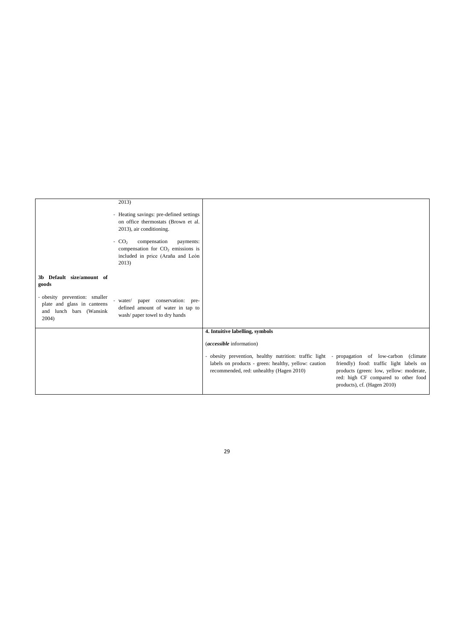|                                                                                                  | 2013)<br>- Heating savings: pre-defined settings<br>on office thermostats (Brown et al.<br>2013), air conditioning.<br>$-CO2$<br>compensation<br>payments:<br>compensation for $CO2$ emissions is<br>included in price (Araña and León<br>2013) |                                                                                                                                                                                                 |                                                                                                                                                          |
|--------------------------------------------------------------------------------------------------|-------------------------------------------------------------------------------------------------------------------------------------------------------------------------------------------------------------------------------------------------|-------------------------------------------------------------------------------------------------------------------------------------------------------------------------------------------------|----------------------------------------------------------------------------------------------------------------------------------------------------------|
| 3b Default size/amount of<br>goods                                                               |                                                                                                                                                                                                                                                 |                                                                                                                                                                                                 |                                                                                                                                                          |
| - obesity prevention: smaller<br>plate and glass in canteens<br>and lunch bars (Wansink<br>2004) | - water/ paper conservation: pre-<br>defined amount of water in tap to<br>wash/paper towel to dry hands                                                                                                                                         |                                                                                                                                                                                                 |                                                                                                                                                          |
|                                                                                                  |                                                                                                                                                                                                                                                 | 4. Intuitive labelling, symbols                                                                                                                                                                 |                                                                                                                                                          |
|                                                                                                  |                                                                                                                                                                                                                                                 | ( <i>accessible</i> information)                                                                                                                                                                |                                                                                                                                                          |
|                                                                                                  |                                                                                                                                                                                                                                                 | - obesity prevention, healthy nutrition: traffic light - propagation of low-carbon (climate<br>labels on products - green: healthy, yellow: caution<br>recommended, red: unhealthy (Hagen 2010) | friendly) food: traffic light labels on<br>products (green: low, yellow: moderate,<br>red: high CF compared to other food<br>products), cf. (Hagen 2010) |

29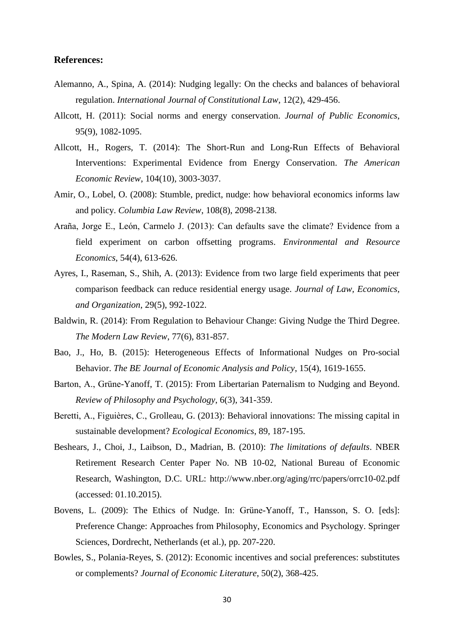#### **References:**

- Alemanno, A., Spina, A. (2014): Nudging legally: On the checks and balances of behavioral regulation. *International Journal of Constitutional Law*, 12(2), 429-456.
- Allcott, H. (2011): Social norms and energy conservation. *Journal of Public Economics*, 95(9), 1082-1095.
- Allcott, H., Rogers, T. (2014): The Short-Run and Long-Run Effects of Behavioral Interventions: Experimental Evidence from Energy Conservation. *The American Economic Review*, 104(10), 3003-3037.
- Amir, O., Lobel, O. (2008): Stumble, predict, nudge: how behavioral economics informs law and policy. *Columbia Law Review*, 108(8), 2098-2138.
- Araña, Jorge E., León, Carmelo J. (2013): Can defaults save the climate? Evidence from a field experiment on carbon offsetting programs. *Environmental and Resource Economics*, 54(4), 613-626.
- Ayres, I., Raseman, S., Shih, A. (2013): Evidence from two large field experiments that peer comparison feedback can reduce residential energy usage. *Journal of Law, Economics, and Organization*, 29(5), 992-1022.
- Baldwin, R. (2014): From Regulation to Behaviour Change: Giving Nudge the Third Degree. *The Modern Law Review*, 77(6), 831-857.
- Bao, J., Ho, B. (2015): Heterogeneous Effects of Informational Nudges on Pro-social Behavior. *The BE Journal of Economic Analysis and Policy*, 15(4), 1619-1655.
- Barton, A., Grüne-Yanoff, T. (2015): From Libertarian Paternalism to Nudging and Beyond. *Review of Philosophy and Psychology*, 6(3), 341-359.
- Beretti, A., Figuières, C., Grolleau, G. (2013): Behavioral innovations: The missing capital in sustainable development? *Ecological Economics*, 89, 187-195.
- Beshears, J., Choi, J., Laibson, D., Madrian, B. (2010): *The limitations of defaults*. NBER Retirement Research Center Paper No. NB 10-02, National Bureau of Economic Research, Washington, D.C. URL: http://www.nber.org/aging/rrc/papers/orrc10-02.pdf (accessed: 01.10.2015).
- Bovens, L. (2009): The Ethics of Nudge. In: Grüne-Yanoff, T., Hansson, S. O. [eds]: Preference Change: Approaches from Philosophy, Economics and Psychology. Springer Sciences, Dordrecht, Netherlands (et al.), pp. 207-220.
- Bowles, S., Polania-Reyes, S. (2012): Economic incentives and social preferences: substitutes or complements? *Journal of Economic Literature*, 50(2), 368-425.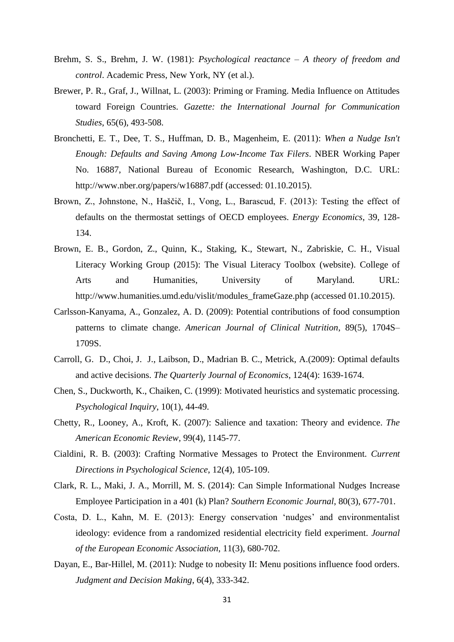- Brehm, S. S., Brehm, J. W. (1981): *Psychological reactance – A theory of freedom and control*. Academic Press, New York, NY (et al.).
- Brewer, P. R., Graf, J., Willnat, L. (2003): Priming or Framing. Media Influence on Attitudes toward Foreign Countries. *Gazette: the International Journal for Communication Studies*, 65(6), 493-508.
- Bronchetti, E. T., Dee, T. S., Huffman, D. B., Magenheim, E. (2011): *When a Nudge Isn't Enough: Defaults and Saving Among Low-Income Tax Filers*. NBER Working Paper No. 16887, National Bureau of Economic Research, Washington, D.C. URL: http://www.nber.org/papers/w16887.pdf (accessed: 01.10.2015).
- Brown, Z., Johnstone, N., Haščič, I., Vong, L., Barascud, F. (2013): Testing the effect of defaults on the thermostat settings of OECD employees. *Energy Economics*, 39, 128- 134.
- Brown, E. B., Gordon, Z., Quinn, K., Staking, K., Stewart, N., Zabriskie, C. H., Visual Literacy Working Group (2015): The Visual Literacy Toolbox (website). College of Arts and Humanities, University of Maryland. URL: http://www.humanities.umd.edu/vislit/modules\_frameGaze.php (accessed 01.10.2015).
- Carlsson-Kanyama, A., Gonzalez, A. D. (2009): Potential contributions of food consumption patterns to climate change. *American Journal of Clinical Nutrition*, 89(5), 1704S– 1709S.
- Carroll, G. D., Choi, J. J., Laibson, D., Madrian B. C., Metrick, A.(2009): Optimal defaults and active decisions. *The Quarterly Journal of Economics*, 124(4): 1639-1674.
- Chen, S., Duckworth, K., Chaiken, C. (1999): Motivated heuristics and systematic processing. *Psychological Inquiry*, 10(1), 44-49.
- Chetty, R., Looney, A., Kroft, K. (2007): Salience and taxation: Theory and evidence. *The American Economic Review*, 99(4), 1145-77.
- Cialdini, R. B. (2003): Crafting Normative Messages to Protect the Environment. *Current Directions in Psychological Science*, 12(4), 105-109.
- Clark, R. L., Maki, J. A., Morrill, M. S. (2014): Can Simple Informational Nudges Increase Employee Participation in a 401 (k) Plan? *Southern Economic Journal*, 80(3), 677-701.
- Costa, D. L., Kahn, M. E. (2013): Energy conservation 'nudges' and environmentalist ideology: evidence from a randomized residential electricity field experiment. *Journal of the European Economic Association*, 11(3), 680-702.
- Dayan, E., Bar-Hillel, M. (2011): Nudge to nobesity II: Menu positions influence food orders. *Judgment and Decision Making*, 6(4), 333-342.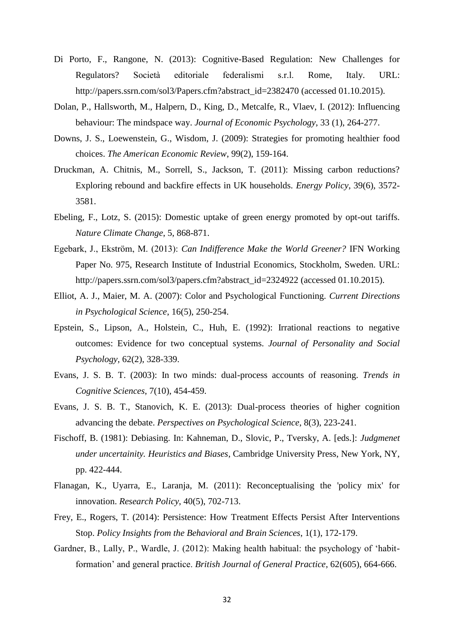- Di Porto, F., Rangone, N. (2013): Cognitive-Based Regulation: New Challenges for Regulators? Società editoriale federalismi s.r.l. Rome, Italy. URL: http://papers.ssrn.com/sol3/Papers.cfm?abstract\_id=2382470 (accessed 01.10.2015).
- Dolan, P., Hallsworth, M., Halpern, D., King, D., Metcalfe, R., Vlaev, I. (2012): Influencing behaviour: The mindspace way. *Journal of Economic Psychology*, 33 (1), 264-277.
- Downs, J. S., Loewenstein, G., Wisdom, J. (2009): Strategies for promoting healthier food choices. *The American Economic Review*, 99(2), 159-164.
- Druckman, A. Chitnis, M., Sorrell, S., Jackson, T. (2011): Missing carbon reductions? Exploring rebound and backfire effects in UK households. *Energy Policy*, 39(6), 3572- 3581.
- Ebeling, F., Lotz, S. (2015): Domestic uptake of green energy promoted by opt-out tariffs. *Nature Climate Change*, 5, 868-871.
- Egebark, J., Ekström, M. (2013): *Can Indifference Make the World Greener?* IFN Working Paper No. 975, Research Institute of Industrial Economics, Stockholm, Sweden. URL: http://papers.ssrn.com/sol3/papers.cfm?abstract\_id=2324922 (accessed 01.10.2015).
- Elliot, A. J., Maier, M. A. (2007): Color and Psychological Functioning. *Current Directions in Psychological Science*, 16(5), 250-254.
- Epstein, S., Lipson, A., Holstein, C., Huh, E. (1992): Irrational reactions to negative outcomes: Evidence for two conceptual systems. *Journal of Personality and Social Psychology*, 62(2), 328-339.
- Evans, J. S. B. T. (2003): In two minds: dual-process accounts of reasoning. *Trends in Cognitive Sciences*, 7(10), 454-459.
- Evans, J. S. B. T., Stanovich, K. E. (2013): Dual-process theories of higher cognition advancing the debate. *Perspectives on Psychological Science*, 8(3), 223-241.
- Fischoff, B. (1981): Debiasing. In: Kahneman, D., Slovic, P., Tversky, A. [eds.]: *Judgmenet under uncertainity. Heuristics and Biases*, Cambridge University Press, New York, NY, pp. 422-444.
- Flanagan, K., Uyarra, E., Laranja, M. (2011): Reconceptualising the 'policy mix' for innovation. *Research Policy*, 40(5), 702-713.
- Frey, E., Rogers, T. (2014): Persistence: How Treatment Effects Persist After Interventions Stop. *Policy Insights from the Behavioral and Brain Sciences*, 1(1), 172-179.
- Gardner, B., Lally, P., Wardle, J. (2012): Making health habitual: the psychology of 'habitformation' and general practice. *British Journal of General Practice*, 62(605), 664-666.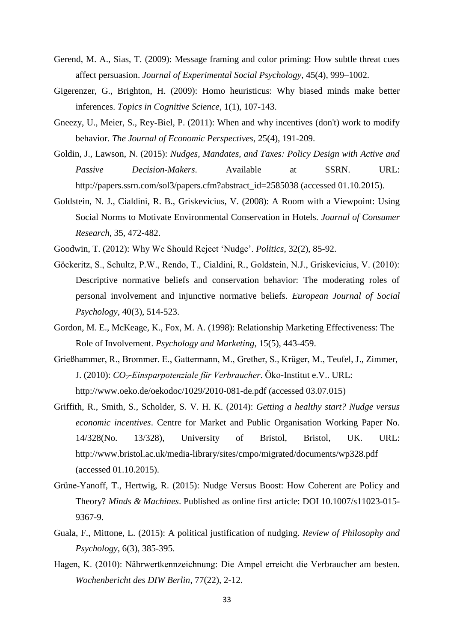- Gerend, M. A., Sias, T. (2009): Message framing and color priming: How subtle threat cues affect persuasion. *Journal of Experimental Social Psychology*, 45(4), 999–1002.
- Gigerenzer, G., Brighton, H. (2009): Homo heuristicus: Why biased minds make better inferences. *Topics in Cognitive Science*, 1(1), 107-143.
- Gneezy, U., Meier, S., Rey-Biel, P. (2011): When and why incentives (don't) work to modify behavior. *The Journal of Economic Perspectives*, 25(4), 191-209.
- Goldin, J., Lawson, N. (2015): *Nudges, Mandates, and Taxes: Policy Design with Active and Passive Decision-Makers*. Available at SSRN. URL: http://papers.ssrn.com/sol3/papers.cfm?abstract\_id=2585038 (accessed 01.10.2015).
- Goldstein, N. J., Cialdini, R. B., Griskevicius, V. (2008): A Room with a Viewpoint: Using Social Norms to Motivate Environmental Conservation in Hotels. *Journal of Consumer Research*, 35, 472-482.
- Goodwin, T. (2012): Why We Should Reject 'Nudge'. *Politics*, 32(2), 85-92.
- Göckeritz, S., Schultz, P.W., Rendo, T., Cialdini, R., Goldstein, N.J., Griskevicius, V. (2010): Descriptive normative beliefs and conservation behavior: The moderating roles of personal involvement and injunctive normative beliefs. *European Journal of Social Psychology*, 40(3), 514-523.
- Gordon, M. E., McKeage, K., Fox, M. A. (1998): Relationship Marketing Effectiveness: The Role of Involvement. *Psychology and Marketing*, 15(5), 443-459.
- Grießhammer, R., Brommer. E., Gattermann, M., Grether, S., Krüger, M., Teufel, J., Zimmer, J. (2010): *CO2-Einsparpotenziale für Verbraucher*. Öko-Institut e.V.. URL: http://www.oeko.de/oekodoc/1029/2010-081-de.pdf (accessed 03.07.015)
- Griffith, R., Smith, S., Scholder, S. V. H. K. (2014): *Getting a healthy start? Nudge versus economic incentives*. Centre for Market and Public Organisation Working Paper No. 14/328(No. 13/328), University of Bristol, Bristol, UK. URL: http://www.bristol.ac.uk/media-library/sites/cmpo/migrated/documents/wp328.pdf (accessed 01.10.2015).
- Grüne-Yanoff, T., Hertwig, R. (2015): Nudge Versus Boost: How Coherent are Policy and Theory? *Minds & Machines*. Published as online first article: DOI 10.1007/s11023-015- 9367-9.
- Guala, F., Mittone, L. (2015): A political justification of nudging. *Review of Philosophy and Psychology*, 6(3), 385-395.
- Hagen, K. (2010): Nährwertkennzeichnung: Die Ampel erreicht die Verbraucher am besten. *Wochenbericht des DIW Berlin*, 77(22), 2-12.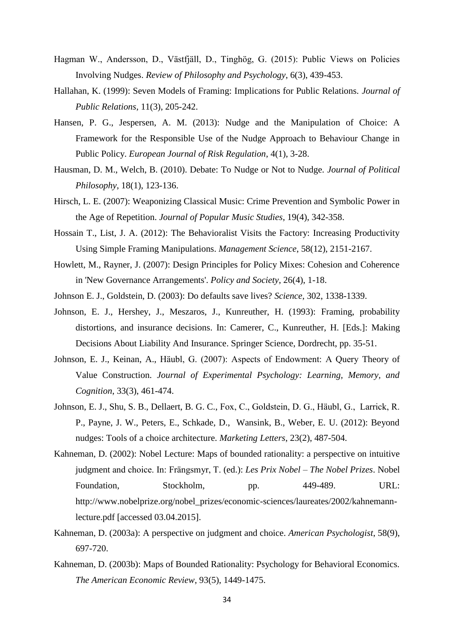- Hagman W., Andersson, D., Västfjäll, D., Tinghög, G. (2015): Public Views on Policies Involving Nudges. *Review of Philosophy and Psychology*, 6(3), 439-453.
- Hallahan, K. (1999): Seven Models of Framing: Implications for Public Relations. *Journal of Public Relations*, 11(3), 205-242.
- Hansen, P. G., Jespersen, A. M. (2013): Nudge and the Manipulation of Choice: A Framework for the Responsible Use of the Nudge Approach to Behaviour Change in Public Policy. *European Journal of Risk Regulation*, 4(1), 3-28.
- Hausman, D. M., Welch, B. (2010). Debate: To Nudge or Not to Nudge. *Journal of Political Philosophy*, 18(1), 123-136.
- Hirsch, L. E. (2007): Weaponizing Classical Music: Crime Prevention and Symbolic Power in the Age of Repetition. *Journal of Popular Music Studies*, 19(4), 342-358.
- Hossain T., List, J. A. (2012): The Behavioralist Visits the Factory: Increasing Productivity Using Simple Framing Manipulations. *Management Science*, 58(12), 2151-2167.
- Howlett, M., Rayner, J. (2007): Design Principles for Policy Mixes: Cohesion and Coherence in 'New Governance Arrangements'. *Policy and Society*, 26(4), 1-18.
- Johnson E. J., Goldstein, D. (2003): Do defaults save lives? *Science*, 302, 1338-1339.
- Johnson, E. J., Hershey, J., Meszaros, J., Kunreuther, H. (1993): Framing, probability distortions, and insurance decisions. In: Camerer, C., Kunreuther, H. [Eds.]: Making Decisions About Liability And Insurance. Springer Science, Dordrecht, pp. 35-51.
- Johnson, E. J., Keinan, A., Häubl, G. (2007): Aspects of Endowment: A Query Theory of Value Construction. *Journal of Experimental Psychology: Learning, Memory, and Cognition*, 33(3), 461-474.
- Johnson, E. J., Shu, S. B., Dellaert, B. G. C., Fox, C., Goldstein, D. G., Häubl, G., Larrick, R. P., Payne, J. W., Peters, E., Schkade, D., Wansink, B., Weber, E. U. (2012): Beyond nudges: Tools of a choice architecture. *Marketing Letters*, 23(2), 487-504.
- Kahneman, D. (2002): Nobel Lecture: Maps of bounded rationality: a perspective on intuitive judgment and choice. In: Frängsmyr, T. (ed.): *Les Prix Nobel – The Nobel Prizes*. Nobel Foundation, Stockholm, pp. 449-489. URL: http://www.nobelprize.org/nobel\_prizes/economic-sciences/laureates/2002/kahnemannlecture.pdf [accessed 03.04.2015].
- Kahneman, D. (2003a): A perspective on judgment and choice. *American Psychologist*, 58(9), 697-720.
- Kahneman, D. (2003b): Maps of Bounded Rationality: Psychology for Behavioral Economics. *The American Economic Review*, 93(5), 1449-1475.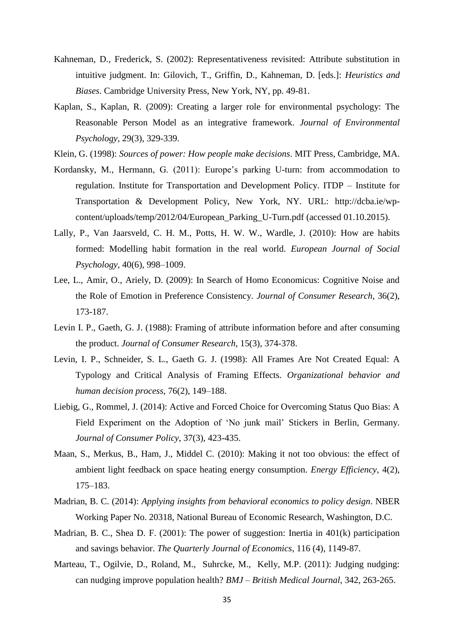- Kahneman, D., Frederick, S. (2002): Representativeness revisited: Attribute substitution in intuitive judgment. In: Gilovich, T., Griffin, D., Kahneman, D. [eds.]: *Heuristics and Biases*. Cambridge University Press, New York, NY, pp. 49-81.
- Kaplan, S., Kaplan, R. (2009): Creating a larger role for environmental psychology: The Reasonable Person Model as an integrative framework. *Journal of Environmental Psychology*, 29(3), 329-339.

Klein, G. (1998): *Sources of power: How people make decisions*. MIT Press, Cambridge, MA.

- Kordansky, M., Hermann, G. (2011): Europe's parking U-turn: from accommodation to regulation. Institute for Transportation and Development Policy. ITDP – Institute for Transportation & Development Policy, New York, NY. URL: http://dcba.ie/wpcontent/uploads/temp/2012/04/European\_Parking\_U-Turn.pdf (accessed 01.10.2015).
- Lally, P., Van Jaarsveld, C. H. M., Potts, H. W. W., Wardle, J. (2010): How are habits formed: Modelling habit formation in the real world. *European Journal of Social Psychology*, 40(6), 998–1009.
- Lee, L., Amir, O., Ariely, D. (2009): In Search of Homo Economicus: Cognitive Noise and the Role of Emotion in Preference Consistency. *Journal of Consumer Research*, 36(2), 173-187.
- Levin I. P., Gaeth, G. J. (1988): Framing of attribute information before and after consuming the product. *Journal of Consumer Research*, 15(3), 374-378.
- Levin, I. P., Schneider, S. L., Gaeth G. J. (1998): All Frames Are Not Created Equal: A Typology and Critical Analysis of Framing Effects. *Organizational behavior and human decision process*, 76(2), 149–188.
- Liebig, G., Rommel, J. (2014): Active and Forced Choice for Overcoming Status Quo Bias: A Field Experiment on the Adoption of 'No junk mail' Stickers in Berlin, Germany. *Journal of Consumer Policy*, 37(3), 423-435.
- Maan, S., Merkus, B., Ham, J., Middel C. (2010): Making it not too obvious: the effect of ambient light feedback on space heating energy consumption. *Energy Efficiency*, 4(2), 175–183.
- Madrian, B. C. (2014): *Applying insights from behavioral economics to policy design*. NBER Working Paper No. 20318, National Bureau of Economic Research, Washington, D.C.
- Madrian, B. C., Shea D. F. (2001): The power of suggestion: Inertia in 401(k) participation and savings behavior. *The Quarterly Journal of Economics*, 116 (4), 1149-87.
- Marteau, T., Ogilvie, D., Roland, M., Suhrcke, M., Kelly, M.P. (2011): Judging nudging: can nudging improve population health? *BMJ – British Medical Journal*, 342, 263-265.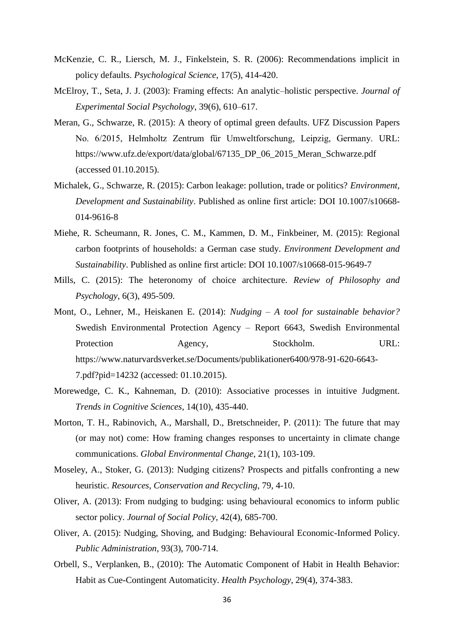- McKenzie, C. R., Liersch, M. J., Finkelstein, S. R. (2006): Recommendations implicit in policy defaults. *Psychological Science*, 17(5), 414-420.
- McElroy, T., Seta, J. J. (2003): Framing effects: An analytic–holistic perspective. *Journal of Experimental Social Psychology*, 39(6), 610–617.
- Meran, G., Schwarze, R. (2015): A theory of optimal green defaults. UFZ Discussion Papers No. 6/2015, Helmholtz Zentrum für Umweltforschung, Leipzig, Germany. URL: https://www.ufz.de/export/data/global/67135\_DP\_06\_2015\_Meran\_Schwarze.pdf (accessed 01.10.2015).
- Michalek, G., Schwarze, R. (2015): Carbon leakage: pollution, trade or politics? *Environment, Development and Sustainability*. Published as online first article: DOI 10.1007/s10668- 014-9616-8
- Miehe, R. Scheumann, R. Jones, C. M., Kammen, D. M., Finkbeiner, M. (2015): Regional carbon footprints of households: a German case study. *Environment Development and Sustainability*. Published as online first article: DOI 10.1007/s10668-015-9649-7
- Mills, C. (2015): The heteronomy of choice architecture. *Review of Philosophy and Psychology*, 6(3), 495-509.
- Mont, O., Lehner, M., Heiskanen E. (2014): *Nudging – A tool for sustainable behavior?* Swedish Environmental Protection Agency – Report 6643, Swedish Environmental Protection Agency, Stockholm. URL: https://www.naturvardsverket.se/Documents/publikationer6400/978-91-620-6643- 7.pdf?pid=14232 (accessed: 01.10.2015).
- Morewedge, C. K., Kahneman, D. (2010): Associative processes in intuitive Judgment. *Trends in Cognitive Sciences*, 14(10), 435-440.
- Morton, T. H., Rabinovich, A., Marshall, D., Bretschneider, P. (2011): The future that may (or may not) come: How framing changes responses to uncertainty in climate change communications. *Global Environmental Change*, 21(1), 103-109.
- Moseley, A., Stoker, G. (2013): Nudging citizens? Prospects and pitfalls confronting a new heuristic. *Resources, Conservation and Recycling*, 79, 4-10.
- Oliver, A. (2013): From nudging to budging: using behavioural economics to inform public sector policy. *Journal of Social Policy*, 42(4), 685-700.
- Oliver, A. (2015): Nudging, Shoving, and Budging: Behavioural Economic-Informed Policy. *Public Administration*, 93(3), 700-714.
- Orbell, S., Verplanken, B., (2010): The Automatic Component of Habit in Health Behavior: Habit as Cue-Contingent Automaticity. *Health Psychology*, 29(4), 374-383.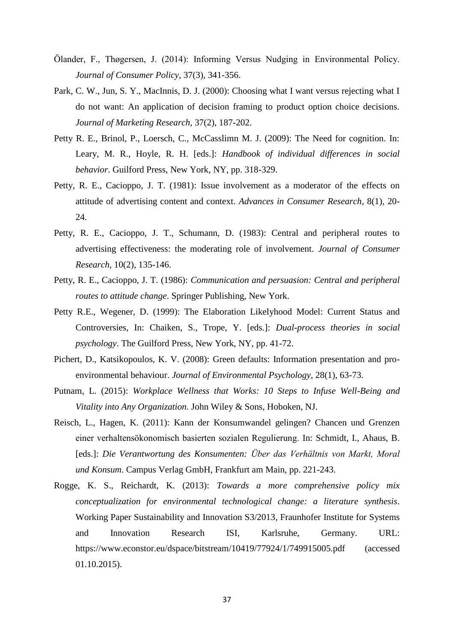- Ölander, F., Thøgersen, J. (2014): Informing Versus Nudging in Environmental Policy. *Journal of Consumer Policy*, 37(3), 341-356.
- Park, C. W., Jun, S. Y., MacInnis, D. J. (2000): Choosing what I want versus rejecting what I do not want: An application of decision framing to product option choice decisions. *Journal of Marketing Research*, 37(2), 187-202.
- Petty R. E., Brinol, P., Loersch, C., McCasslimn M. J. (2009): The Need for cognition. In: Leary, M. R., Hoyle, R. H. [eds.]: *Handbook of individual differences in social behavior*. Guilford Press, New York, NY, pp. 318-329.
- Petty, R. E., Cacioppo, J. T. (1981): Issue involvement as a moderator of the effects on attitude of advertising content and context. *Advances in Consumer Research*, 8(1), 20- 24.
- Petty, R. E., Cacioppo, J. T., Schumann, D. (1983): Central and peripheral routes to advertising effectiveness: the moderating role of involvement. *Journal of Consumer Research*, 10(2), 135-146.
- Petty, R. E., Cacioppo, J. T. (1986): *Communication and persuasion: Central and peripheral routes to attitude change*. Springer Publishing, New York.
- Petty R.E., Wegener, D. (1999): The Elaboration Likelyhood Model: Current Status and Controversies, In: Chaiken, S., Trope, Y. [eds.]: *Dual-process theories in social psychology*. The Guilford Press, New York, NY, pp. 41-72.
- Pichert, D., Katsikopoulos, K. V. (2008): Green defaults: Information presentation and proenvironmental behaviour. *Journal of Environmental Psychology*, 28(1), 63-73.
- Putnam, L. (2015): *Workplace Wellness that Works: 10 Steps to Infuse Well-Being and Vitality into Any Organization*. John Wiley & Sons, Hoboken, NJ.
- Reisch, L., Hagen, K. (2011): Kann der Konsumwandel gelingen? Chancen und Grenzen einer verhaltensökonomisch basierten sozialen Regulierung. In: Schmidt, I., Ahaus, B. [eds.]: *Die Verantwortung des Konsumenten: Über das Verhältnis von Markt, Moral und Konsum*. Campus Verlag GmbH, Frankfurt am Main, pp. 221-243.
- Rogge, K. S., Reichardt, K. (2013): *Towards a more comprehensive policy mix conceptualization for environmental technological change: a literature synthesis*. Working Paper Sustainability and Innovation S3/2013, Fraunhofer Institute for Systems and Innovation Research ISI, Karlsruhe, Germany. URL: https://www.econstor.eu/dspace/bitstream/10419/77924/1/749915005.pdf (accessed 01.10.2015).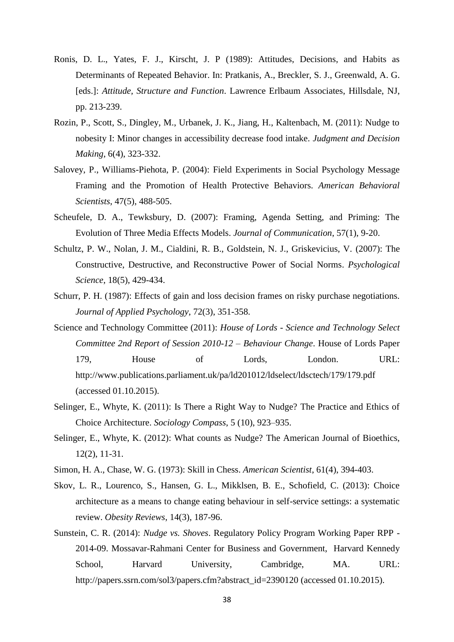- Ronis, D. L., Yates, F. J., Kirscht, J. P (1989): Attitudes, Decisions, and Habits as Determinants of Repeated Behavior. In: Pratkanis, A., Breckler, S. J., Greenwald, A. G. [eds.]: *Attitude, Structure and Function*. Lawrence Erlbaum Associates, Hillsdale, NJ, pp. 213-239.
- Rozin, P., Scott, S., Dingley, M., Urbanek, J. K., Jiang, H., Kaltenbach, M. (2011): Nudge to nobesity I: Minor changes in accessibility decrease food intake. *Judgment and Decision Making*, 6(4), 323-332.
- Salovey, P., Williams-Piehota, P. (2004): Field Experiments in Social Psychology Message Framing and the Promotion of Health Protective Behaviors. *American Behavioral Scientists*, 47(5), 488-505.
- Scheufele, D. A., Tewksbury, D. (2007): Framing, Agenda Setting, and Priming: The Evolution of Three Media Effects Models. *Journal of Communication*, 57(1), 9-20.
- Schultz, P. W., Nolan, J. M., Cialdini, R. B., Goldstein, N. J., Griskevicius, V. (2007): The Constructive, Destructive, and Reconstructive Power of Social Norms. *Psychological Science*, 18(5), 429-434.
- Schurr, P. H. (1987): Effects of gain and loss decision frames on risky purchase negotiations. *Journal of Applied Psychology*, 72(3), 351-358.
- Science and Technology Committee (2011): *House of Lords - Science and Technology Select Committee 2nd Report of Session 2010-12 – Behaviour Change*. House of Lords Paper 179, House of Lords, London. URL: http://www.publications.parliament.uk/pa/ld201012/ldselect/ldsctech/179/179.pdf (accessed 01.10.2015).
- Selinger, E., Whyte, K. (2011): Is There a Right Way to Nudge? The Practice and Ethics of Choice Architecture. *Sociology Compass*, 5 (10), 923–935.
- Selinger, E., Whyte, K. (2012): What counts as Nudge? The American Journal of Bioethics, 12(2), 11-31.
- Simon, H. A., Chase, W. G. (1973): Skill in Chess. *American Scientist*, 61(4), 394-403.
- Skov, L. R., Lourenco, S., Hansen, G. L., Mikklsen, B. E., Schofield, C. (2013): Choice architecture as a means to change eating behaviour in self-service settings: a systematic review. *Obesity Reviews*, 14(3), 187-96.
- Sunstein, C. R. (2014): *Nudge vs. Shoves*. Regulatory Policy Program Working Paper RPP 2014-09. Mossavar-Rahmani Center for Business and Government, Harvard Kennedy School, Harvard University, Cambridge, MA. URL: http://papers.ssrn.com/sol3/papers.cfm?abstract\_id=2390120 (accessed 01.10.2015).